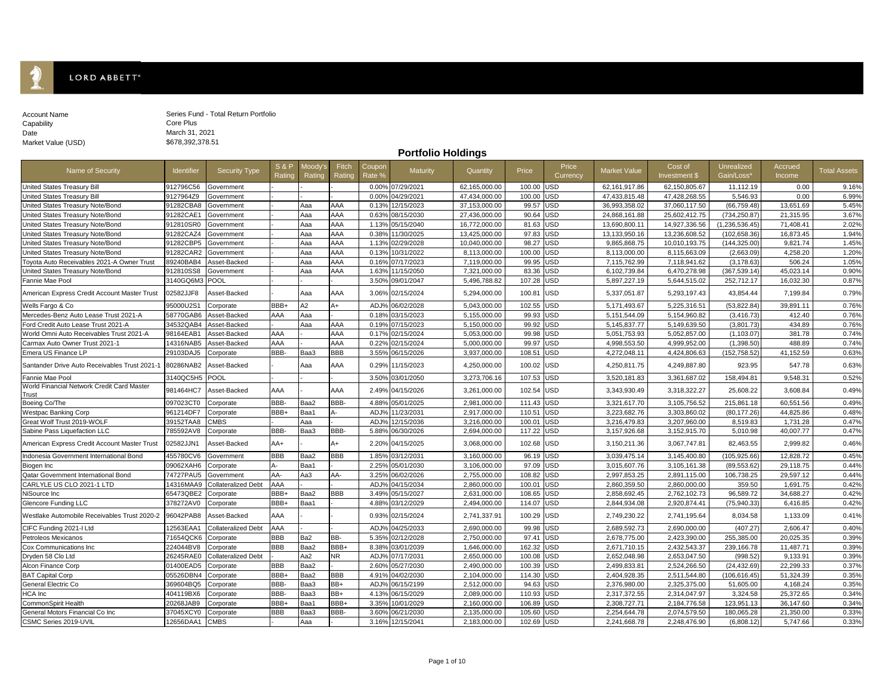## LORD ABBETT<sup>®</sup>

Ĩ.

| Account Name       |  |
|--------------------|--|
| Capability         |  |
| Date               |  |
| Market Value (USD) |  |
|                    |  |

Series Fund - Total Return Portfolio Core Plus March 31, 2021 \$678,392,378.51

**Portfolio Holdings**

| Name of Security                                    | <b>Identifier</b> | <b>Security Type</b>       | <b>S&amp;P</b><br>Rating | Moody'<br>Rating | Fitch<br>Rating | Coupor<br>Rate %  | Maturity         | Quantity      | Price      | Price<br>Currency | Market Value    | Cost of<br>Investment \$ | Unrealized<br>Gain/Loss* | Accrued<br>Income | <b>Total Assets</b> |
|-----------------------------------------------------|-------------------|----------------------------|--------------------------|------------------|-----------------|-------------------|------------------|---------------|------------|-------------------|-----------------|--------------------------|--------------------------|-------------------|---------------------|
| United States Treasury Bill                         | 912796C56         | Government                 |                          |                  |                 | $0.00^{\circ}$    | 07/29/2021       | 62,165,000.00 | 100.00 USD |                   | 62, 161, 917.86 | 62,150,805.67            | 11,112.19                | 0.00              | 9.16%               |
| United States Treasury Bill                         | 9127964Z9         | Government                 |                          |                  |                 | 0.00              | 04/29/2021       | 47,434,000.00 | 100.00     | <b>USD</b>        | 47,433,815.48   | 47,428,268.55            | 5.546.93                 | 0.00              | 6.99%               |
| United States Treasury Note/Bond                    | 91282CBA8         | Government                 |                          | Aaa              | AAA             | 0.13%             | 12/15/2023       | 37,153,000.00 | 99.57 USD  |                   | 36,993,358.02   | 37,060,117.50            | (66, 759.48)             | 13,651.69         | 5.45%               |
| United States Treasury Note/Bond                    | 91282CAE1         | Government                 |                          | Aaa              | AAA             | $0.63^{\circ}$    | 08/15/2030       | 27,436,000.00 | 90.64 USD  |                   | 24,868,161.88   | 25,602,412.75            | (734, 250.87)            | 21,315.95         | 3.67%               |
| United States Treasury Note/Bond                    | 912810SR0         | Government                 |                          | Aaa              | AAA             | 1.13%             | 05/15/2040       | 16,772,000.00 | 81.63 USD  |                   | 13,690,800.11   | 14,927,336.56            | (1, 236, 536.45)         | 71,408.41         | 2.02%               |
| United States Treasury Note/Bond                    | 91282CAZ4         | Government                 |                          | Aaa              | AAA             | 0.38%             | 11/30/2025       | 13,425,000.00 | 97.83      | <b>USD</b>        | 13,133,950.16   | 13,236,608.52            | (102, 658.36)            | 16,873.45         | 1.94%               |
| Jnited States Treasury Note/Bond                    | 91282CBP5         | Government                 |                          | Aaa              | AAA             | 1.13 <sup>°</sup> | 02/29/2028       | 10,040,000.00 | 98.27 USD  |                   | 9,865,868.75    | 10,010,193.75            | (144,325.00)             | 9,821.74          | 1.45%               |
| United States Treasury Note/Bond                    | 91282CAR2         | Government                 |                          | Aaa              | AAA             | 0.139             | 10/31/2022       | 8,113,000.00  | 100.00     | <b>USD</b>        | 8,113,000.00    | 8,115,663.09             | (2,663.09)               | 4,258.20          | 1.20%               |
| Toyota Auto Receivables 2021-A Owner Trust          | 89240BAB4         | Asset-Backed               |                          | Aaa              | AAA             | $0.16^{\circ}$    | 07/17/2023       | 7,119,000.00  | 99.95      | <b>USD</b>        | 7,115,762.99    | 7,118,941.62             | (3, 178.63)              | 506.24            | 1.05%               |
| United States Treasury Note/Bond                    | 912810SS8         | Government                 |                          | Aaa              | AA              | 1.63%             | 11/15/2050       | 7.321.000.00  | 83.36      | USD               | 6,102,739.84    | 6,470,278.98             | (367,539.14)             | 45,023.14         | 0.90%               |
| Fannie Mae Pool                                     | 3140GQ6M3         | <b>POOL</b>                |                          |                  |                 | 3.50%             | 09/01/2047       | 5,496,788.82  | 107.28 USD |                   | 5,897,227.19    | 5,644,515.02             | 252,712.17               | 16,032.30         | 0.87%               |
| American Express Credit Account Master Trust        | 02582JJF8         | Asset-Backed               |                          | Ааа              | AAA             | 3.06%             | 02/15/2024       | 5,294,000.00  | 100.81 USD |                   | 5,337,051.87    | 5,293,197.43             | 43,854.44                | 7,199.84          | 0.79%               |
| Wells Fargo & Co                                    | 95000U2S1         | Corporate                  | BBB+                     | A <sub>2</sub>   | A+              | ADJ <sup>®</sup>  | 06/02/2028       | 5,043,000.00  | 102.55     | <b>USD</b>        | 5,171,493.67    | 5,225,316.51             | (53,822.84)              | 39,891.11         | 0.76%               |
| Mercedes-Benz Auto Lease Trust 2021-A               | 58770GAB6         | Asset-Backed               | AAA                      | Aaa              |                 | 0.18              | 03/15/2023       | 5,155,000.00  | 99.93      | USD               | 5,151,544.09    | 5,154,960.82             | (3, 416.73)              | 412.40            | 0.76%               |
| Ford Credit Auto Lease Trust 2021-A                 | 34532QAB4         | Asset-Backed               |                          | Aaa              | AAA             | 0.19 <sup>o</sup> | 07/15/2023       | 5,150,000.00  | 99.92      | <b>USD</b>        | 5,145,837.77    | 5,149,639.50             | (3,801.73)               | 434.89            | 0.76%               |
| World Omni Auto Receivables Trust 2021-A            | 98164EAB1         | Asset-Backed               | AAA                      |                  | AA              | 0.17%             | 02/15/2024       | 5,053,000.00  | 99.98      | <b>USD</b>        | 5,051,753.93    | 5,052,857.00             | (1, 103.07)              | 381.78            | 0.74%               |
| Carmax Auto Owner Trust 2021-1                      | 14316NAB5         | Asset-Backed               | AAA                      |                  | AA              | $0.22^{\circ}$    | 02/15/2024       | 5,000,000.00  | 99.97      | <b>USD</b>        | 4,998,553.50    | 4,999,952.00             | (1,398.50)               | 488.89            | 0.74%               |
| Emera US Finance LP                                 | 29103DAJ5         | Corporate                  | BBB-                     | Baa3             | BBB             | 3.55%             | 06/15/2026       | 3,937,000.00  | 108.51 USD |                   | 4,272,048.11    | 4,424,806.63             | (152, 758.52)            | 41,152.59         | 0.63%               |
| Santander Drive Auto Receivables Trust 2021-1       | 80286NAB2         | Asset-Backed               |                          | Aaa              | AAA             | $0.29^{\circ}$    | 11/15/2023       | 4,250,000.00  | 100.02     | <b>USD</b>        | 4,250,811.75    | 4,249,887.80             | 923.95                   | 547.78            | 0.63%               |
| Fannie Mae Pool                                     | 3140QC5H5         | <b>POOL</b>                |                          |                  |                 | $3.50^{\circ}$    | 03/01/2050       | 3,273,706.16  | 107.53     | <b>USD</b>        | 3,520,181.83    | 3,361,687.02             | 158,494.81               | 9,548.31          | 0.52%               |
| World Financial Network Credit Card Master<br>Trust | 981464HC7         | Asset-Backed               | AAA                      |                  | AAA             | $2.49^{\circ}$    | 04/15/2026       | 3,261,000.00  | 102.54     | <b>USD</b>        | 3,343,930.49    | 3,318,322.27             | 25,608.22                | 3,608.84          | 0.49%               |
| Boeing Co/The                                       | 097023CT0         | Corporate                  | BBB-                     | Baa2             | BBB-            | 4.88%             | 05/01/2025       | 2,981,000.00  | 111.43     | <b>USD</b>        | 3,321,617.70    | 3,105,756.52             | 215,861.18               | 60,551.56         | 0.49%               |
| <b>Westpac Banking Corp</b>                         | 961214DF7         | Corporate                  | BBB+                     | Baa1             |                 | ADJ <sup>o</sup>  | 11/23/2031       | 2,917,000.00  | 110.51 USD |                   | 3,223,682.76    | 3,303,860.02             | (80, 177.26)             | 44,825.86         | 0.48%               |
| Great Wolf Trust 2019-WOLF                          | 39152TAA8         | <b>CMBS</b>                |                          | Aaa              |                 | ADJ'              | 12/15/2036       | 3,216,000.00  | 100.01     | <b>USD</b>        | 3,216,479.83    | 3,207,960.00             | 8,519.83                 | 1,731.28          | 0.47%               |
| Sabine Pass Liquefaction LLC                        | 785592AV8         | Corporate                  | BBB-                     | Baa3             | BBB-            | 5.88 <sup>°</sup> | 06/30/2026       | 2,694,000.00  | 117.22 USD |                   | 3,157,926.68    | 3,152,915.70             | 5,010.98                 | 40,007.77         | 0.47%               |
| American Express Credit Account Master Trust        | 02582JJN1         | Asset-Backed               | AA+                      |                  | A+              | 2.20%             | 04/15/2025       | 3,068,000.00  | 102.68 USD |                   | 3,150,211.36    | 3,067,747.81             | 82,463.55                | 2,999.82          | 0.46%               |
| Indonesia Government International Bond             | 455780CV6         | Government                 | <b>BBB</b>               | Baa2             | <b>BBB</b>      | 1.85%             | 03/12/2031       | 3,160,000.00  | 96.19 USD  |                   | 3,039,475.14    | 3,145,400.80             | (105, 925.66)            | 12,828.72         | 0.45%               |
| Biogen Inc                                          | 09062XAH6         | Corporate                  |                          | Baa1             |                 | $2.25^{\circ}$    | 05/01/2030       | 3,106,000.00  | 97.09      | <b>USD</b>        | 3,015,607.76    | 3,105,161.38             | (89, 553.62)             | 29.118.75         | 0.44%               |
| Qatar Government International Bond                 | 74727PAU5         | Government                 | AA-                      | Aa3              | AA-             | $3.25^{\circ}$    | 06/02/2026       | 2,755,000.00  | 108.82     | <b>USD</b>        | 2,997,853.25    | 2,891,115.00             | 106,738.25               | 29.597.12         | 0.44%               |
| CARLYLE US CLO 2021-1 LTD                           | 14316MAA9         | <b>Collateralized Debt</b> | AAA                      |                  |                 | ADJ'              | 04/15/2034       | 2,860,000.00  | 100.01     | <b>USD</b>        | 2,860,359.50    | 2,860,000.00             | 359.50                   | 1,691.75          | 0.42%               |
| NiSource Inc                                        | 65473QBE2         | Corporate                  | BBB+                     | Baa2             | BBB             | 3.49              | 05/15/2027       | 2,631,000.00  | 108.65     | <b>USD</b>        | 2,858,692.45    | 2,762,102.73             | 96,589.72                | 34,688.27         | 0.42%               |
| <b>Glencore Funding LLC</b>                         | 378272AV0         | Corporate                  | BBB+                     | Baa1             |                 | 4.88%             | 03/12/2029       | 2,494,000.00  | 114.07     | <b>USD</b>        | 2,844,934.08    | 2,920,874.41             | (75,940.33)              | 6,416.85          | 0.42%               |
| Westlake Automobile Receivables Trust 2020-2        | 96042PAB8         | Asset-Backed               | AAA                      |                  |                 | 0.93%             | 02/15/2024       | 2,741,337.91  | 100.29 USD |                   | 2,749,230.22    | 2,741,195.64             | 8,034.58                 | 1,133.09          | 0.41%               |
| CIFC Funding 2021-I Ltd                             | 12563EAA1         | <b>Collateralized Debt</b> | AAA                      |                  |                 | ADJ'              | 04/25/2033       | 2,690,000.00  | 99.98      | <b>USD</b>        | 2,689,592.73    | 2,690,000.00             | (407.27)                 | 2,606.47          | 0.40%               |
| Petroleos Mexicanos                                 | 71654QCK6         | Corporate                  | <b>BBB</b>               | Ba2              | BB-             | $5.35^{\circ}$    | 02/12/2028       | 2,750,000.00  | 97.41 USD  |                   | 2,678,775.00    | 2,423,390.00             | 255,385.00               | 20,025.35         | 0.39%               |
| Cox Communications Inc                              | 224044BV8         | Corporate                  | <b>BBB</b>               | Baa2             | BBB+            | 8.38%             | 03/01/2039       | 1,646,000.00  | 162.32     | USD               | 2,671,710.15    | 2,432,543.37             | 239,166.78               | 11.487.71         | 0.39%               |
| Dryden 58 Clo Ltd                                   | 26245RAE0         | <b>Collateralized Debt</b> |                          | Aa2              | ٧R              | ADJ <sup>®</sup>  | 07/17/2031       | 2,650,000.00  | 100.08     | <b>USD</b>        | 2,652,048.98    | 2,653,047.50             | (998.52)                 | 9,133.91          | 0.39%               |
| Alcon Finance Corp                                  | 01400EAD5         | Corporate                  | BBB                      | Baa2             |                 | 2.60              | 05/27/2030       | 2,490,000.00  | 100.39     | <b>USD</b>        | 2,499,833.81    | 2,524,266.50             | (24, 432.69)             | 22,299.33         | 0.37%               |
| <b>BAT Capital Corp</b>                             | 05526DBN4         | Corporate                  | BBB+                     | Baa2             | BBB             | 4.91              | 04/02/2030       | 2,104,000.00  | 114.30 USD |                   | 2,404,928.35    | 2,511,544.80             | (106, 616.45)            | 51,324.39         | 0.35%               |
| General Electric Co                                 | 369604BQ5         | Corporate                  | BBB-                     | Baa3             | BB+             | ADJ'              | 06/15/2199       | 2,512,000.00  | 94.63      | USD               | 2,376,980.00    | 2,325,375.00             | 51,605.00                | 4,168.24          | 0.35%               |
| HCA Inc                                             | 404119BX6         | Corporate                  | BBB-                     | Baa3             | BB+             | 4.13 <sup>°</sup> | 06/15/2029       | 2,089,000.00  | 110.93 USD |                   | 2,317,372.55    | 2,314,047.97             | 3,324.58                 | 25,372.65         | 0.34%               |
| CommonSpirit Health                                 | 20268JAB9         | Corporate                  | BBB+                     | Baa1             | BBB+            | 3.35%             | 10/01/2029       | 2,160,000.00  | 106.89     | <b>USD</b>        | 2,308,727.71    | 2,184,776.58             | 123,951.13               | 36,147.60         | 0.34%               |
| General Motors Financial Co Inc                     | 37045XCY0         | Corporate                  | <b>BBB</b>               | Baa3             | BBB-            | $3.60^{\circ}$    | 06/21/2030       | 2,135,000.00  | 105.60 USD |                   | 2,254,644.78    | 2,074,579.50             | 180,065.28               | 21,350.00         | 0.33%               |
| CSMC Series 2019-UVIL                               | 12656DAA1         | <b>CMBS</b>                |                          | Aaa              |                 |                   | 3.16% 12/15/2041 | 2,183,000.00  | 102.69 USD |                   | 2,241,668.78    | 2,248,476.90             | (6,808.12)               | 5,747.66          | 0.33%               |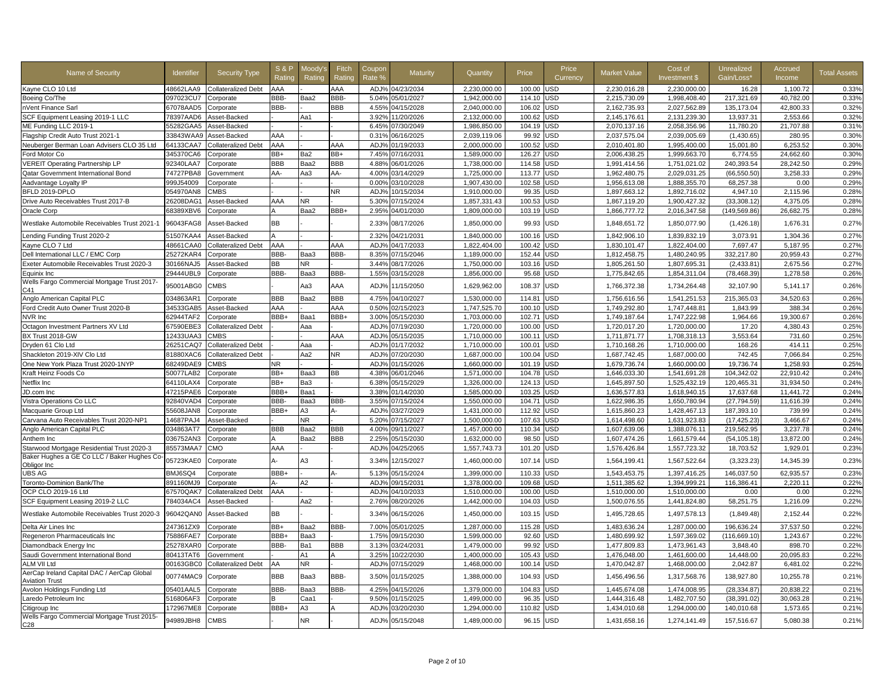| Name of Security                                                    | <b>Identifier</b> | <b>Security Type</b>       | <b>S&amp;P</b><br>Ratino | Moodv's<br>Rating | Fitch<br>Rating | Coupor<br>Rate % | Maturity        | Quantity     | Price            | Price<br>Currency | <b>Market Value</b> | Cost of<br>Investment \$     | Unrealized<br>Gain/Loss*  | Accrued<br>Income | <b>Total Assets</b> |
|---------------------------------------------------------------------|-------------------|----------------------------|--------------------------|-------------------|-----------------|------------------|-----------------|--------------|------------------|-------------------|---------------------|------------------------------|---------------------------|-------------------|---------------------|
| Kayne CLO 10 Ltd                                                    | 48662LAA9         | <b>Collateralized Debt</b> | AAA                      |                   | AAA             |                  | ADJ% 04/23/2034 | 2.230.000.00 | 100.00           | <b>JSD</b>        | 2.230.016.28        | 2.230.000.00                 | 16.28                     | 1.100.72          | 0.33%               |
| Boeing Co/The                                                       | 097023CU7         | Corporate                  | BBB-                     | Baa2              | BBB-            | 5.04%            | 05/01/2027      | 1,942,000.00 | 114.10           | JSD               | 2,215,730.09        | 1,998,408.40                 | 217,321.69                | 40,782.00         | 0.33%               |
| nVent Finance Sarl                                                  | 67078AAD5         | Corporate                  | BBB-                     |                   | BBB             | 4.55%            | 04/15/2028      | 2,040,000.00 | 106.02           | JSD               | 2,162,735.93        | 2,027,562.89                 | 135,173.04                | 42,800.33         | 0.32%               |
| SCF Equipment Leasing 2019-1 LLC                                    | 78397AAD6         | Asset-Backed               |                          | Aa1               |                 | 3.92%            | 11/20/2026      | 2,132,000.00 | 100.62           | <b>JSD</b>        | 2,145,176.61        | 2,131,239.30                 | 13,937.31                 | 2.553.66          | 0.32%               |
| ME Funding LLC 2019-1                                               | 55282GAA5         | Asset-Backed               |                          |                   |                 | 6.45%            | 07/30/2049      | 1,986,850.00 | 104.19           | JSD               | 2,070,137.16        | 2,058,356.96                 | 11,780.20                 | 21,707.88         | 0.31%               |
| Flagship Credit Auto Trust 2021-1                                   | 33843WAA9         | Asset-Backed               | AAA                      |                   |                 | 0.31%            | 06/16/2025      | 2,039,119.06 | 99.92            | JSD               | 2,037,575.04        | 2,039,005.69                 | (1,430.65)                | 280.95            | 0.30%               |
| Neuberger Berman Loan Advisers CLO 35 Ltd                           | 64133CAA7         | Collateralized Debt        | AAA                      |                   | AAA             | ADJ%             | 01/19/2033      | 2,000,000.00 | 100.52           | JSD               | 2,010,401.80        | 1,995,400.00                 | 15,001.80                 | 6,253.52          | 0.30%               |
| Ford Motor Co                                                       | 345370CA6         | Corporate                  | BB+                      | Ba2               | BB+             | 7.45%            | 07/16/2031      | 1,589,000.00 | 126.27           | JSD               | 2,006,438.25        | 1,999,663.70                 | 6,774.55                  | 24,662.60         | 0.30%               |
| <b>VEREIT Operating Partnership LP</b>                              | 92340LAA7         | Corporate                  | <b>BBB</b>               | Baa2              | BBB             | 4.88%            | 06/01/2026      | 1,738,000.00 | 114.58           | <b>JSD</b>        | 1,991,414.56        | 1,751,021.02                 | 240,393.54                | 28,242.50         | 0.29%               |
| Qatar Government International Bond                                 | 74727PBA8         | Government                 | AA-                      | Aa3               | AA-             | 4.00%            | 03/14/2029      | 1,725,000.00 | 113.77           | <b>JSD</b>        | 1,962,480.75        | 2,029,031.25                 | (66, 550.50)              | 3,258.33          | 0.29%               |
| Aadvantage Loyalty IP                                               | 999J54009         | Corporate                  |                          |                   |                 | 0.00%            | 03/10/2028      | 1,907,430.00 | 102.58           | <b>JSD</b>        | 1,956,613.08        | 1,888,355.70                 | 68,257.38                 | 0.00              | 0.29%               |
| BFLD 2019-DPLO                                                      | 054970AN8         | CMBS                       |                          |                   | NR.             | ADJ <sup>9</sup> | 10/15/2034      | 1,910,000.00 | 99.35            | JSD               | 1,897,663.12        | 1,892,716.02                 | 4,947.10                  | 2,115.96          | 0.28%               |
| Drive Auto Receivables Trust 2017-B                                 | 26208DAG1         | Asset-Backed               | AAA                      | NR.               |                 | 5.30%            | 07/15/2024      | 1,857,331.43 | 100.53           | <b>JSD</b>        | 1,867,119.20        | 1,900,427.32                 | (33, 308.12)              | 4,375.05          | 0.28%               |
| Oracle Corp                                                         | 68389XBV6         | Corporate                  | A                        | Baa2              | BBB+            | 2.95%            | 04/01/2030      | 1,809,000.00 | 103.19           | JSD               | 1,866,777.72        | 2,016,347.58                 | (149,569.86)              | 26,682.75         | 0.28%               |
| Westlake Automobile Receivables Trust 2021-1                        | 96043FAG8         | Asset-Backed               | BB                       |                   |                 | 2.339            | 08/17/2026      | 1,850,000.00 | 99.93            | <b>JSD</b>        | 1,848,651.72        | 1,850,077.90                 | (1,426.18)                | 1,676.3           | 0.27%               |
| Lending Funding Trust 2020-2                                        | 51507KAA4         | Asset-Backed               |                          |                   |                 | 2.32%            | 04/21/2031      | 1.840.000.00 | 100.16           | <b>JSD</b>        | 1,842,906.10        | 1,839,832.19                 | 3,073.91                  | 1,304.36          | 0.27%               |
| Kayne CLO 7 Ltd                                                     | 48661CAA0         | <b>Collateralized Debt</b> | AAA                      |                   | AAA             | ADJ <sup>9</sup> | 04/17/2033      | 1,822,404.00 | 100.42           | JSD               | 1,830,101.47        | 1,822,404.00                 | 7,697.47                  | 5,187.95          | 0.27%               |
| Dell International LLC / EMC Corp                                   | 25272KAR4         | Corporate                  | BBB-                     | Baa3              | BBB-            | 8.35%            | 07/15/2046      | 1,189,000.00 | 152.44           | <b>JSD</b>        | 1,812,458.75        | 1,480,240.95                 | 332,217.80                | 20,959.43         | 0.27%               |
| Exeter Automobile Receivables Trust 2020-3                          | 30166NAJ5         | Asset-Backed               | BB                       | NR.               |                 | 3.44%            | 08/17/2026      | 1,750,000.00 | 103.16           | JSD               | 1,805,261.50        | 1,807,695.31                 | (2,433.81)                | 2,675.56          | 0.27%               |
| Equinix Inc                                                         | 29444UBL9         | Corporate                  | BBB-                     | Baa3              | BBB-            | 1.55%            | 03/15/2028      | 1,856,000.00 | 95.68            | USD               | 1,775,842.65        | 1,854,311.04                 | (78, 468.39)              | 1,278.58          | 0.26%               |
| Wells Fargo Commercial Mortgage Trust 2017-<br>C41                  | 95001ABG0         | CMBS                       |                          | Aa3               | AAA             | ADJ <sub>9</sub> | 11/15/2050      | 1,629,962.00 | 108.37           | USD               | 1,766,372.38        | 1,734,264.48                 | 32,107.90                 | 5,141.17          | 0.26%               |
| Anglo American Capital PLC                                          | 034863AR1         | Corporate                  | <b>BBB</b>               | Baa2              | BBB             | 4.75%            | 04/10/2027      | 1,530,000.00 | 114.81           | JSD               | 1,756,616.56        | 1,541,251.53                 | 215,365.03                | 34,520.63         | 0.26%               |
| Ford Credit Auto Owner Trust 2020-B                                 | 34533GAB5         | Asset-Backed               | AAA                      |                   | AAA             | 0.50%            | 02/15/2023      | 1,747,525.70 | 100.10           | USD               | 1,749,292.80        | 1,747,448.81                 | 1,843.99                  | 388.34            | 0.26%               |
| NVR Inc                                                             | 62944TAF2         | Corporate                  | BBB+                     | Baa1              | BBB+            | 3.00%            | 05/15/2030      | 1,703,000.00 | 102.71           | <b>JSD</b>        | 1,749,187.64        | 1,747,222.98                 | 1,964.66                  | 19.300.67         | 0.26%               |
| Octagon Investment Partners XV Ltd                                  | 67590EBE3         | <b>Collateralized Debt</b> |                          | Ааа               |                 | ADJ%             | 07/19/2030      | 1,720,000.00 | 100.00           | USD               | 1,720,017.20        | 1,720,000.00                 | 17.20                     | 4,380.43          | 0.25%               |
| BX Trust 2018-GW                                                    | 12433UAA3         | <b>CMBS</b>                |                          |                   | AAA             | ADJ%             | 05/15/2035      | 1,710,000.00 | 100.11           | JSD               | 1,711,871.77        | 1,708,318.13                 | 3,553.64                  | 731.60            | 0.25%               |
| Dryden 61 Clo Ltd                                                   | 26251CAQ7         | <b>Collateralized Debt</b> |                          | Aaa               |                 | ADJ%             | 01/17/2032      | 1,710,000.00 | 100.01           | USD               | 1,710,168.26        | 1,710,000.00                 | 168.26                    | 414.1'            | 0.25%               |
| Shackleton 2019-XIV Clo Ltd                                         | 81880XAC6         | <b>Collateralized Debt</b> |                          | Aa2               | ΝR              | ADJ%             | 07/20/2030      | 1,687,000.00 | 100.04           | <b>JSD</b>        | 1,687,742.45        | 1,687,000.00                 | 742.45                    | 7,066.84          | 0.25%               |
| One New York Plaza Trust 2020-1NYP                                  | 68249DAE9         | <b>CMBS</b>                | NR.                      |                   |                 | ADJ%             | 01/15/2026      | 1,660,000.00 | 101.19           | JSD               | 1,679,736.74        | 1,660,000.00                 | 19.736.74                 | 1,258.93          | 0.25%               |
| Kraft Heinz Foods Co                                                | 50077LAB2         | Corporate                  | BB+                      | Baa3              | BВ              | 4.38%            | 06/01/2046      | 1,571,000.00 | 104.78           | JSD               | 1.646.033.30        | 1.541.691.28                 | 104.342.02                | 22.910.42         | 0.24%               |
| Netflix Inc                                                         | 64110LAX4         | Corporate                  | BB+                      | Ba3               |                 | 6.38%            | 05/15/2029      | 1,326,000.00 | 124.13           | <b>JSD</b>        | 1,645,897.50        | 1,525,432.19                 | 120,465.31                | 31,934.50         | 0.24%               |
|                                                                     |                   |                            | BBB+                     |                   |                 | 3.38%            |                 |              |                  |                   |                     |                              |                           |                   |                     |
| JD.com Inc                                                          | 47215PAE6         | Corporate                  | BBB-                     | Baa1              | BBB-            | 3.55%            | 01/14/2030      | 1,585,000.00 | 103.25<br>104.71 | JSD<br><b>JSD</b> | 1,636,577.83        | 1,618,940.15<br>1,650,780.94 | 17,637.68<br>(27, 794.59) | 11,441.72         | 0.24%<br>0.24%      |
| Vistra Operations Co LLC                                            | 92840VAD4         | Corporate                  |                          | Baa3              |                 |                  | 07/15/2024      | 1,550,000.00 |                  |                   | 1,622,986.35        |                              |                           | 11,616.39         |                     |
| Macquarie Group Ltd                                                 | 55608JAN8         | Corporate                  | BBB+                     | A3                | А-              | ADJ%             | 03/27/2029      | 1,431,000.00 | 112.92           | <b>JSD</b>        | 1,615,860.23        | 1,428,467.13                 | 187,393.10                | 739.99            | 0.24%               |
| Carvana Auto Receivables Trust 2020-NP1                             | 14687PAJ4         | Asset-Backed               |                          | <b>NR</b>         |                 | 5.20%            | 07/15/2027      | 1,500,000.00 | 107.63           | <b>JSD</b>        | 1,614,498.60        | 1,631,923.83                 | (17, 425.23)              | 3,466.67          | 0.24%               |
| Anglo American Capital PLC                                          | 034863AT7         | Corporate                  | <b>BBB</b>               | Baa2              | BBB             | 4.00%            | 09/11/2027      | 1,457,000.00 | 110.34           | JSD               | 1,607,639.06        | 1,388,076.11                 | 219,562.95                | 3,237.78          | 0.24%               |
| Anthem Inc                                                          | 036752AN3         | Corporate                  |                          | Baa2              | BBB             | 2.25%            | 05/15/2030      | 1,632,000.00 | 98.50            | JSD               | 1,607,474.26        | 1,661,579.44                 | (54, 105.18)              | 13,872.00         | 0.24%               |
| Starwood Mortgage Residential Trust 2020-3                          | 85573MAA7         | CMO                        | AAA                      |                   |                 | ADJ%             | 04/25/2065      | 1,557,743.73 | 101.20           | JSD               | 1,576,426.84        | 1,557,723.32                 | 18,703.52                 | 1,929.01          | 0.23%               |
| Baker Hughes a GE Co LLC / Baker Hughes Co<br>Obligor Inc           | 05723KAE0         | Corporate                  | А-                       | A3                |                 | 3.34%            | 12/15/2027      | 1,460,000.00 | 107.14           | USD               | 1,564,199.41        | 1,567,522.64                 | (3,323.23)                | 14,345.39         | 0.23%               |
| <b>UBS AG</b>                                                       | BMJ6SQ4           | Corporate                  | BBB+                     |                   |                 | 5.13             | 05/15/2024      | 1.399.000.00 | 110.33           | <b>JSD</b>        | 1.543.453.75        | 1,397,416.25                 | 146.037.50                | 62.935.57         | 0.23%               |
| Toronto-Dominion Bank/The                                           | 891160MJ9         | Corporate                  | д.                       | A2                |                 | ADJ <sub>9</sub> | 09/15/2031      | 1,378,000.00 | 109.68           | JSD               | 1,511,385.62        | 1,394,999.21                 | 116,386.41                | 2,220.1           | 0.22%               |
| OCP CLO 2019-16 Ltd                                                 | 67570QAK7         | Collateralized Debt        | AAA                      |                   |                 | ADJ%             | 04/10/2033      | 1,510,000.00 | 100.00           | JSD               | 1,510,000.00        | 1,510,000.00                 | 0.00                      | 0.00              | 0.22%               |
| SCF Equipment Leasing 2019-2 LLC                                    | 784034AC4         | Asset-Backed               |                          | Aa2               |                 | 2.76%            | 08/20/2026      | 1,442,000.00 | 104.03           | JSD               | 1,500,076.55        | 1,441,824.80                 | 58,251.75                 | 1,216.09          | 0.22%               |
| Westlake Automobile Receivables Trust 2020-3                        | 96042QAN0         | Asset-Backed               | <b>BB</b>                |                   |                 | 3.34%            | 06/15/2026      | 1,450,000.00 | 103.15           | USD               | 1,495,728.65        | 1,497,578.13                 | (1,849.48)                | 2,152.44          | 0.22%               |
| Delta Air Lines Inc                                                 | 247361ZX9         | Corporate                  | BB+                      | Baa2              | BBB-            | 7.00%            | 05/01/2025      | 1,287,000.00 | 115.28           | <b>JSD</b>        | 1,483,636.24        | 1,287,000.00                 | 196,636.24                | 37,537.50         | 0.22%               |
| Regeneron Pharmaceuticals Inc                                       | 75886FAE7         | Corporate                  | BBB+                     | Baa3              |                 | 1.75%            | 09/15/2030      | 1,599,000.00 | 92.60            | <b>JSD</b>        | 1,480,699.92        | 1,597,369.02                 | (116, 669.10)             | 1,243.67          | 0.22%               |
| Diamondback Energy Inc                                              | 25278XAR0         | Corporate                  | BBB-                     | Ba1               | BBB             | 3.13%            | 03/24/2031      | 1,479,000.00 | 99.92            | <b>JSD</b>        | 1,477,809.83        | 1,473,961.43                 | 3,848.40                  | 898.70            | 0.22%               |
| Saudi Government International Bond                                 | 80413TAT6         | Government                 |                          | Α1                |                 | 3.25%            | 10/22/2030      | 1,400,000.00 | 105.43           | JSD               | 1,476,048.00        | 1,461,600.00                 | 14,448.00                 | 20,095.83         | 0.22%               |
| <b>ALM VII Ltd</b>                                                  | 00163GBC0         | Collateralized Debt        | AA                       | <b>NR</b>         |                 | ADJ%             | 07/15/2029      | 1,468,000.00 | 100.14           | <b>JSD</b>        | 1,470,042.87        | 1,468,000.00                 | 2,042.87                  | 6,481.02          | 0.22%               |
| AerCap Ireland Capital DAC / AerCap Global<br><b>Aviation Trust</b> | 00774MAC9         | Corporate                  | <b>BBB</b>               | Baa3              | BBB-            | 3.50%            | 01/15/2025      | 1,388,000.00 | 104.93           | USD               | 1,456,496.56        | 1,317,568.76                 | 138,927.80                | 10,255.78         | 0.21%               |
| Avolon Holdings Funding Ltd                                         | 05401AAL5         | Corporate                  | BBB-                     | Baa3              | BBB-            | 4.25%            | 04/15/2026      | 1.379.000.00 | 104.83           | <b>JSD</b>        | 1.445.674.08        | 1.474.008.95                 | (28.334.87                | 20.838.22         | 0.21%               |
| Laredo Petroleum Inc                                                | 516806AF3         | Corporate                  |                          | Caa1              |                 | 9.50%            | 01/15/2025      | 1,499,000.00 | 96.35            | <b>JSD</b>        | 1,444,316.48        | 1,482,707.50                 | (38, 391.02)              | 30,063.28         | 0.21%               |
| Citigroup Inc                                                       | 172967ME8         | Corporate                  | BBB+                     | A3                |                 | ADJ%             | 03/20/2030      | 1,294,000.00 | 110.82           | <b>JSD</b>        | 1,434,010.68        | 1,294,000.00                 | 140,010.68                | 1,573.65          | 0.21%               |
| Wells Fargo Commercial Mortgage Trust 2015-<br>C <sub>28</sub>      | 94989JBH8         | <b>CMBS</b>                |                          | NR.               |                 | ADJ%             | 05/15/2048      | 1,489,000.00 | 96.15            | USD               | 1,431,658.16        | 1,274,141.49                 | 157,516.67                | 5,080.38          | 0.21%               |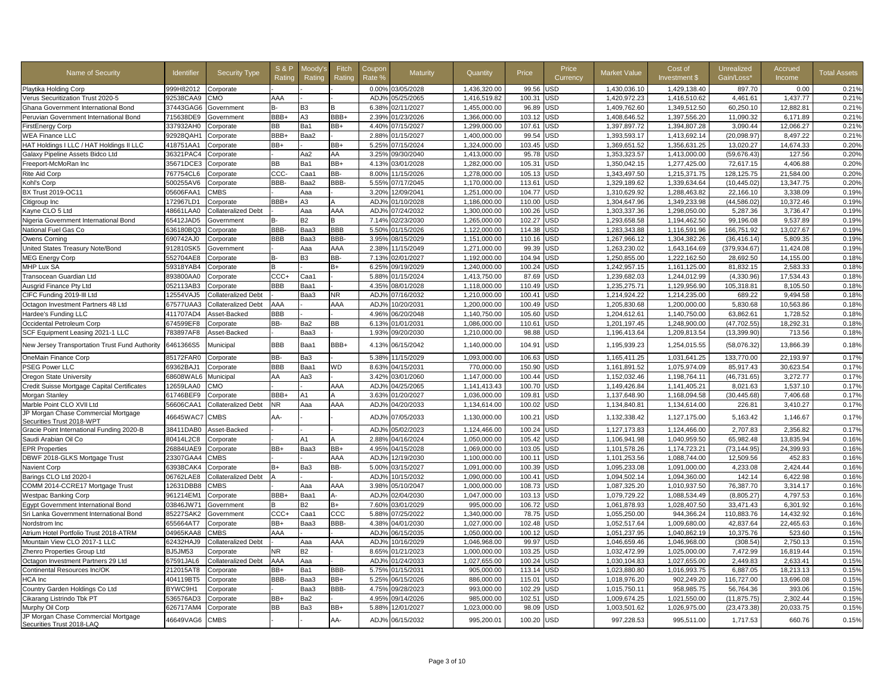| Playtika Holding Corp<br><b>JSD</b><br>1,429,138.40<br>999H82012<br>Corporate<br>0.00%<br>03/05/2028<br>1,436,320.00<br>99.56<br>1,430,036.10<br>897.70<br>92538CAA9<br>AAA<br>05/25/2065<br>JSD<br>1,416,510.62<br>4,461.61<br>Verus Securitization Trust 2020-5<br>CMO<br>ADJ%<br>1,416,519.82<br>100.31<br>1,420,972.23 | 0.00<br>0.21%<br>1,437.77<br>0.21%<br>12,882.81<br>0.21% |
|----------------------------------------------------------------------------------------------------------------------------------------------------------------------------------------------------------------------------------------------------------------------------------------------------------------------------|----------------------------------------------------------|
|                                                                                                                                                                                                                                                                                                                            |                                                          |
|                                                                                                                                                                                                                                                                                                                            |                                                          |
| 1,455,000.00<br>JSD<br>1,349,512.50<br>60,250.10<br>37443GAG6<br>6.38%<br>02/11/2027<br>96.89<br>1,409,762.60<br>Ghana Government International Bond<br>Government<br>B3<br>в-                                                                                                                                             |                                                          |
| BBB+<br>A <sub>3</sub><br>BBB+<br>JSD<br>1,397,556.20<br>Peruvian Government International Bond<br>715638DE9<br>2.39%<br>01/23/2026<br>1,366,000.00<br>103.12<br>1,408,646.52<br>11,090.32<br>Government                                                                                                                   | 6,171.89<br>0.21%                                        |
| ВB<br>Ba1<br>BB+<br>1,299,000.00<br>107.61<br>JSD<br>1,394,807.28<br>3,090.44<br>337932AH0<br>4.40%<br>07/15/2027<br>1,397,897.72<br>FirstEnergy Corp<br>Corporate                                                                                                                                                         | 12,066.27<br>0.21%                                       |
| <b>WEA Finance LLC</b><br>92928QAH1<br>BBB+<br>Baa2<br>2.88%<br>01/15/2027<br>1,400,000.00<br>99.54<br><b>JSD</b><br>1,393,593.17<br>1,413,692.14<br>(20,098.97)<br>Corporate                                                                                                                                              | 8,497.22<br>0.21%                                        |
| HAT Holdings I LLC / HAT Holdings II LLC<br>418751AA1<br>BB+<br>BB+<br>5.25%<br>07/15/2024<br>1,324,000.00<br>103.45<br>JSD<br>1,369,651.52<br>1,356,631.25<br>13,020.27<br>Corporate                                                                                                                                      | 14,674.33<br>0.20%                                       |
| AA<br>95.78<br><b>JSD</b><br>1,413,000.00<br>Galaxy Pipeline Assets Bidco Ltd<br>36321PAC4<br>Corporate<br>Aa2<br>3.25%<br>09/30/2040<br>1,413,000.00<br>1,353,323.57<br>(59, 676.43)                                                                                                                                      | 127.56<br>0.20%                                          |
| BB+<br>Freeport-McMoRan Inc<br>35671DCE3<br>BВ<br>Ba1<br>4.13%<br>03/01/2028<br>1,282,000.00<br>105.31<br>JSD<br>1,350,042.15<br>1,277,425.00<br>72,617.15<br>Corporate                                                                                                                                                    | 4.406.88<br>0.20%                                        |
| 767754CL6<br>CCC-<br>BB-<br>1,343,497.50<br>Rite Aid Corp<br>Corporate<br>Caa1<br>8.00%<br>11/15/2026<br>1,278,000.00<br>105.13<br><b>JSD</b><br>1,215,371.75<br>128,125.75                                                                                                                                                | 21.584.00<br>0.20%                                       |
| 500255AV6<br>BBB-<br>Baa2<br>BBB-<br>1,170,000.00<br><b>USD</b><br>1,329,189.62<br>1,339,634.64<br>(10, 445.02)<br>Kohl's Corp<br>Corporate<br>5.55%<br>07/17/2045<br>113.61                                                                                                                                               | 13,347.75<br>0.20%                                       |
| <b>JSD</b><br>BX Trust 2019-OC11<br>05606FAA1<br><b>CMBS</b><br>Aaa<br>3.20%<br>12/09/2041<br>1,251,000.00<br>104.77<br>1,310,629.92<br>1,288,463.82<br>22,166.10                                                                                                                                                          | 3,338.09<br>0.19%                                        |
| BBB+<br>A3<br>ADJ%<br>110.00<br><b>JSD</b><br>1,304,647.96<br>1,349,233.98<br>(44, 586.02)<br>Citigroup Inc<br>172967LD1<br>Corporate<br>01/10/2028<br>1,186,000.00                                                                                                                                                        | 0.19%<br>10,372.46                                       |
| 48661LAA0<br>AAA<br>ADJ%<br>07/24/2032<br>100.26<br>JSD<br>1,303,337.36<br>1,298,050.00<br>Kayne CLO 5 Ltd<br><b>Collateralized Debt</b><br>Aaa<br>1,300,000.00<br>5,287.36                                                                                                                                                | 3,736.47<br>0.19%                                        |
| Nigeria Government International Bond<br>65412JAD5<br><b>B2</b><br>7.14%<br>02/23/2030<br>1.265.000.00<br>102.27<br>JSD<br>1.293.658.58<br>1.194.462.50<br>99.196.08<br>Government                                                                                                                                         | 9.537.89<br>0.19%                                        |
| BBB-<br>BBB<br>JSD<br>National Fuel Gas Co<br>636180BQ3<br>Baa3<br>5.50%<br>01/15/2026<br>1,122,000.00<br>114.38<br>1,283,343.88<br>1,116,591.96<br>166,751.92<br>Corporate                                                                                                                                                | 13,027.67<br>0.19%                                       |
| BBB<br>BBB-<br><b>JSD</b><br>690742AJ0<br>Baa3<br>3.95%<br>1,151,000.00<br>110.16<br>1,267,966.12<br>1,304,382.26<br>(36, 416.14)<br>Owens Corning<br>Corporate<br>08/15/2029                                                                                                                                              | 5,809.35<br>0.19%                                        |
| AAA<br>United States Treasury Note/Bond<br>912810SK5<br>2.38%<br>11/15/2049<br>1,271,000.00<br>99.39<br>JSD<br>1,263,230.02<br>1,643,164.69<br>(379, 934.67)<br>Government<br>Aaa                                                                                                                                          | 0.19%<br>11,424.08                                       |
| MEG Energy Corp<br>552704AE8<br>B-<br>BB-<br>JSD<br>1,222,162.50<br>B3<br>7.13%<br>02/01/2027<br>1,192,000.00<br>104.94<br>1,250,855.00<br>28,692.50<br>Corporate                                                                                                                                                          | 0.18%<br>14,155.00                                       |
| MHP Lux SA<br>B+<br>1,240,000.00<br>100.24<br>JSD<br>1,242,957.15<br>1,161,125.00<br>81,832.15<br>59318YAB4<br>6.25%<br>09/19/2029<br>Corporate<br>B                                                                                                                                                                       | 2,583.33<br>0.18%                                        |
| CCC+<br>Transocean Guardian Ltd<br>893800AA0<br>Caa1<br>5.88%<br>01/15/2024<br>1,413,750.00<br>87.69<br>JSD<br>1,239,682.03<br>1,244,012.99<br>(4,330.96)<br>Corporate                                                                                                                                                     | 17,534.43<br>0.18%                                       |
| BBB<br>4.35%<br>JSD<br>1,235,275.71<br>105,318.81<br>Ausgrid Finance Pty Ltd<br>052113AB3<br>Baa1<br>08/01/2028<br>1,118,000.00<br>110.49<br>1,129,956.90<br>Corporate                                                                                                                                                     | 0.18%<br>8,105.50                                        |
| JSD<br>CIFC Funding 2019-III Ltd<br>12554VAJ5<br>Baa3<br>NR<br>ADJ%<br>07/16/2032<br>1,210,000.00<br>100.4 <sup>2</sup><br>1,214,924.22<br>1,214,235.00<br>689.22<br>Collateralized Debt                                                                                                                                   | 0.18%<br>9,494.58                                        |
| AAA<br>AAA<br>ADJ%<br>1.200.000.00<br><b>JSD</b><br>1,205,830.68<br>1.200.000.00<br>5.830.68<br>Octagon Investment Partners 48 Ltd<br>67577UAA3<br>10/20/2031<br>100.49<br><b>Collateralized Debt</b>                                                                                                                      | 10,563.86<br>0.18%                                       |
| 411707AD4<br>BBB<br>4.96%<br>06/20/2048<br>1,140,750.00<br>105.60<br>JSD<br>1,204,612.61<br>1,140,750.00<br>63,862.61<br>Hardee's Funding LLC<br>Asset-Backed                                                                                                                                                              | 1,728.52<br>0.18%                                        |
| Occidental Petroleum Corp<br>674599EF8<br>Corporate<br>BB-<br>Ba2<br>BВ<br>6.13%<br>01/01/2031<br>1,086,000.00<br>110.61<br>JSD<br>1,201,197.45<br>1,248,900.00<br>(47, 702.55)                                                                                                                                            | 18,292.31<br>0.18%                                       |
| SCF Equipment Leasing 2021-1 LLC<br>783897AF8<br>Asset-Backed<br>Baa3<br>1.93%<br>09/20/2030<br>1,210,000.00<br>98.88<br>JSD<br>1,196,413.64<br>1,209,813.54<br>(13, 399.90)                                                                                                                                               | 0.18%<br>713.56                                          |
| BBB<br>BBB+<br><b>JSD</b><br>New Jersey Transportation Trust Fund Authority<br>6461366S5<br>Baa1<br>06/15/2042<br>1,140,000.00<br>104.91<br>1,195,939.23<br>1,254,015.55<br>(58,076.32)<br>Municipal<br>4.13%                                                                                                              | 13,866.39<br>0.18%                                       |
| OneMain Finance Corp<br>85172FAR0<br>BB-<br>5.38%<br>1,093,000.00<br>106.63<br><b>JSD</b><br>1,165,411.25<br>1,031,641.25<br>133,770.00<br>Ba3<br>11/15/2029<br>Corporate                                                                                                                                                  | 22,193.97<br>0.17%                                       |
| PSEG Power LLC<br>69362BAJ1<br><b>BBB</b><br><b>WD</b><br>JSD<br>1,075,974.09<br>Baa1<br>8.63%<br>04/15/2031<br>770,000.00<br>150.90<br>1,161,891.52<br>85,917.43<br>Corporate                                                                                                                                             | 30,623.54<br>0.17%                                       |
| AA<br>Aa3<br>JSD<br>1,152,032.46<br>1,198,764.11<br>Oregon State University<br>68608WAL6<br>Municipal<br>3.42%<br>03/01/2060<br>1,147,000.00<br>100.44<br>(46,731.65)                                                                                                                                                      | 0.17%<br>3,272.77                                        |
| Credit Suisse Mortgage Capital Certificates<br>12659LAA0<br>CMO<br>AAA<br>ADJ <sub>9</sub><br>04/25/2065<br>1,141,413.43<br>100.70<br><b>JSD</b><br>1,149,426.84<br>1,141,405.21<br>8,021.63                                                                                                                               | 1,537.10<br>0.17%                                        |
| Morgan Stanley<br>61746BEF9<br>BBB+<br>A1<br>3.63%<br>01/20/2027<br>1,036,000.00<br>109.81<br>JSD<br>1,137,648.90<br>1,168,094.58<br>(30, 445.68)<br>Corporate                                                                                                                                                             | 7,406.68<br>0.17%                                        |
| AAA<br>JSD<br>Marble Point CLO XVII Ltd<br>56606CAA1<br><b>Collateralized Debt</b><br>NR<br>Aaa<br>ADJ%<br>04/20/2033<br>1,134,614.00<br>100.02<br>1,134,840.81<br>1,134,614.00<br>226.81                                                                                                                                  | 3,410.27<br>0.17%                                        |
| JP Morgan Chase Commercial Mortgage<br>AA-<br><b>JSD</b><br>46645WAC7<br><b>CMBS</b><br>ADJ%<br>07/05/2033<br>1,130,000.00<br>100.21<br>1,132,338.42<br>1,127,175.00<br>5,163.42<br>Securities Trust 2018-WPT                                                                                                              | 0.17%<br>1,146.67                                        |
| Gracie Point International Funding 2020-B<br>38411DAB0<br>ADJ <sup>o</sup><br>05/02/2023<br>1,124,466.00<br>JSD<br>1,127,173.83<br>1,124,466.00<br>2,707.83<br>Asset-Backed<br>100.24                                                                                                                                      | 2,356.82<br>0.17%                                        |
| Saudi Arabian Oil Co<br>80414L2C8<br>A1<br>2.88%<br>04/16/2024<br>1,050,000.00<br>105.42<br>JSD<br>1,106,941.98<br>1,040,959.50<br>65.982.48<br>Corporate                                                                                                                                                                  | 13,835.94<br>0.16%                                       |
| 26884UAE9<br>BB+<br>BB+<br>4.95%<br>1,069,000.00<br>103.05<br>JSD<br>1,101,578.26<br>1,174,723.21<br>(73, 144.95)<br><b>EPR Properties</b><br>Baa3<br>04/15/2028<br>Corporate                                                                                                                                              | 24,399.93<br>0.16%                                       |
| DBWF 2018-GLKS Mortgage Trust<br>23307GAA4<br><b>CMBS</b><br>AAA<br>ADJ%<br>12/19/2030<br>1,100,000.00<br>100.11<br>JSD<br>1,101,253.56<br>1,088,744.00<br>12,509.56                                                                                                                                                       | 452.83<br>0.16%                                          |
| BB-<br>4,233.08<br>Navient Corp<br>63938CAK4<br>B+<br>Ba3<br>5.00%<br>03/15/2027<br>1.091.000.00<br>100.39<br>JSD<br>1,095,233.08<br>1.091.000.00<br>Corporate                                                                                                                                                             | 2,424.44<br>0.16%                                        |
| ADJ%<br>10/15/2032<br><b>JSD</b><br>1,094,502.14<br>1,094,360.00<br>142.14<br>Barings CLO Ltd 2020-I<br>06762LAE8<br><b>Collateralized Debt</b><br>1,090,000.00<br>100.41                                                                                                                                                  | 6,422.98<br>0.16%                                        |
| COMM 2014-CCRE17 Mortgage Trust<br>12631DBB8<br><b>CMBS</b><br>AAA<br>3.98%<br>1.000.000.00<br>108.73<br>JSD<br>1,087,325.20<br>1.010.937.50<br>76.387.70<br>Aaa<br>05/10/2047                                                                                                                                             | 3.314.17<br>0.16%                                        |
| BBB+<br><b>Westpac Banking Corp</b><br>961214EM1<br>Baa1<br>ADJ%<br>02/04/2030<br>1.047.000.00<br>103.13<br><b>JSD</b><br>1.079.729.22<br>1.088.534.49<br>(8.805.27)<br>Corporate<br>А-                                                                                                                                    | 4.797.53<br>0.16%                                        |
| 03846JW71<br><b>B2</b><br>B+<br>995,000.00<br>106.72<br><b>JSD</b><br><b>Egypt Government International Bond</b><br>7.60%<br>03/01/2029<br>1,061,878.93<br>1,028,407.50<br>33,471.43<br>Government                                                                                                                         | 6,301.92<br>0.16%                                        |
| 85227SAK2<br>CCC+<br>CCC<br>Caa1<br>5.88%<br>07/25/2022<br>1,340,000.00<br>78.75<br>JSD<br>1,055,250.00<br>944,366.24<br>110,883.76<br>Sri Lanka Government International Bond<br>Government                                                                                                                               | 14,432.92<br>0.16%                                       |
| 655664AT7<br>BB+<br>BBB-<br><b>JSD</b><br>1,052,517.64<br>42.837.64<br>Nordstrom Inc<br>Baa3<br>4.38%<br>04/01/2030<br>1,027,000.00<br>102.48<br>1,009,680.00<br>Corporate                                                                                                                                                 | 22.465.63<br>0.16%                                       |
| 04965KAA8<br><b>CMBS</b><br>AAA<br>1,050,000.00<br>100.12<br>JSD<br>1,051,237.95<br>1,040,862.19<br>10,375.76<br>Atrium Hotel Portfolio Trust 2018-ATRM<br>ADJ%<br>06/15/2035                                                                                                                                              | 523.60<br>0.15%                                          |
| 62432HAJ9<br>AAA<br>ADJ%<br>JSD<br>Mountain View CLO 2017-1 LLC<br>10/16/2029<br>1,046,968.00<br>99.97<br>1,046,659.46<br>1,046,968.00<br>(308.54)<br>Collateralized Debt<br>Aaa                                                                                                                                           | 2,750.13<br>0.15%                                        |
| <b>BJ5JM53</b><br><b>B2</b><br>8.65%<br>01/21/2023<br>1,000,000.00<br><b>JSD</b><br>1,032,472.99<br>1,025,000.00<br>7,472.99<br>Zhenro Properties Group Ltd<br>ΝR<br>103.25<br>Corporate                                                                                                                                   | 0.15%<br>16,819.44                                       |
| 67591JAL6<br>AAA<br>01/24/2033<br>1,027,655.00<br>100.24<br>JSD<br>1,027,655.00<br>2,449.83<br>Collateralized Debt<br>Aaa<br>ADJ%<br>1,030,104.83<br>Octagon Investment Partners 29 Ltd                                                                                                                                    | 2,633.41<br>0.15%                                        |
| BB+<br>905,000.00<br>JSD<br>1,023,880.80<br>1,016,993.75<br>6,887.05<br>Continental Resources Inc/OK<br>212015AT8<br>Ba1<br>BBB-<br>5.75%<br>01/15/2031<br>113.14<br>Corporate                                                                                                                                             | 0.15%<br>18,213.13                                       |
| HCA Inc<br>404119BT5<br>BBB-<br>Baa3<br>BB+<br>5.25%<br>06/15/2026<br>886,000.00<br>115.01<br>JSD<br>1,018,976.20<br>902,249.20<br>116,727.00<br>Corporate                                                                                                                                                                 | 13,696.08<br>0.15%                                       |
| Country Garden Holdings Co Ltd<br>BYWC9H1<br>Baa3<br>BBB-<br>4.75%<br>09/28/2023<br>993,000.00<br>102.29<br><b>JSD</b><br>1,015,750.11<br>958,985.75<br>56,764.36<br>Corporate                                                                                                                                             | 393.06<br>0.15%                                          |
| Cikarang Listrindo Tbk PT<br>536576AD3<br>BB+<br>Ba2<br>4.95%<br>09/14/2026<br>985,000.00<br>102.51<br>JSD<br>1,009,674.25<br>1,021,550.00<br>(11, 875.75)<br>Corporate                                                                                                                                                    | 2,302.44<br>0.15%                                        |
| ВB<br>USD<br>1,026,975.00<br>Murphy Oil Corp<br>626717AM4<br>Ba3<br>BB+<br>5.88%<br>12/01/2027<br>1,023,000.00<br>98.09<br>1,003,501.62<br>(23, 473.38)<br>Corporate                                                                                                                                                       | 0.15%<br>20,033.75                                       |
| JP Morgan Chase Commercial Mortgage<br>AA-<br>46649VAG6<br>USD<br><b>CMBS</b><br>ADJ%<br>06/15/2032<br>995,200.01<br>100.20<br>997,228.53<br>995,511.00<br>1,717.53<br>Securities Trust 2018-LAQ                                                                                                                           | 660.76<br>0.15%                                          |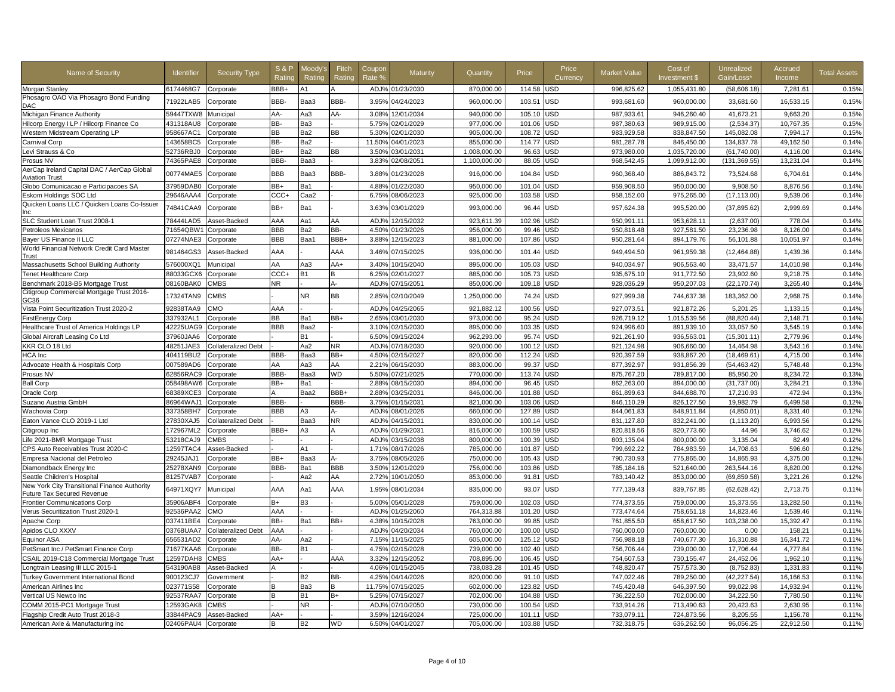| Name of Security                                                           | Identifier            | <b>Security Type</b> | <b>S&amp;P</b><br>Ratino | Moodv's<br>Rating | Fitch<br>Ratino | Coupor<br>Rate 9 | <b>Maturity</b>  | Quantity     | Price  | Price<br>Currency | <b>Market Value</b> | Cost of<br>Investment \$ | Unrealized<br>Gain/Loss' | Accrued<br>Income | <b>Total Assets</b> |
|----------------------------------------------------------------------------|-----------------------|----------------------|--------------------------|-------------------|-----------------|------------------|------------------|--------------|--------|-------------------|---------------------|--------------------------|--------------------------|-------------------|---------------------|
| Morgan Stanley                                                             | 6174468G7             | Corporate            | BBB+                     | A1                | $\mathsf{A}$    | ADJ%             | 01/23/2030       | 870,000.00   | 114.58 | JSD               | 996,825.62          | 1,055,431.80             | (58,606.18)              | 7,281.61          | 0.15%               |
| Phosagro OAO Via Phosagro Bond Funding<br>DAC                              | 71922LAB5             | Corporate            | BBB-                     | Baa3              | BBB-            | 3.95%            | 04/24/2023       | 960,000.00   | 103.51 | <b>JSD</b>        | 993,681.60          | 960,000.00               | 33,681.60                | 16,533.15         | 0.15%               |
| Michigan Finance Authority                                                 | 59447TXW8             | Municipal            | AA-                      | Aa3               | AA-             | 3.08%            | 12/01/2034       | 940,000.00   | 105.10 | <b>JSD</b>        | 987.933.61          | 946,260.40               | 41,673.21                | 9.663.20          | 0.15%               |
| Hilcorp Energy I LP / Hilcorp Finance Co                                   | 431318AU8             | Corporate            | BB-                      | Ba3               |                 | 5.75%            | 02/01/2029       | 977,000.00   | 101.06 | <b>JSD</b>        | 987,380.63          | 989.915.00               | (2,534.37)               | 10.767.35         | 0.15%               |
| <b>Western Midstream Operating LP</b>                                      | 958667AC1             | Corporate            | <b>BB</b>                | Ba2               | <b>BB</b>       | 5.30%            | 02/01/2030       | 905,000.00   | 108.72 | JSD               | 983,929.58          | 838,847.50               | 145,082.08               | 7,994.17          | 0.15%               |
| Carnival Corp                                                              | 143658BC5             | Corporate            | BB-                      | Ba2               |                 | 11.50%           | 04/01/2023       | 855,000.00   | 114.77 | JSD               | 981,287.78          | 846,450.00               | 134,837.78               | 49,162.50         | 0.14%               |
| evi Strauss & Co                                                           | 52736RBJ0             | Corporate            | BB+                      | Ba2               | BB              | 3.50%            | 03/01/2031       | 1,008,000.00 | 96.63  | <b>JSD</b>        | 973,980.00          | 1,035,720.00             | (61,740.00)              | 4,116.00          | 0.14%               |
| Prosus NV                                                                  | 74365PAE8             | Corporate            | BBB-                     | Baa3              |                 | 3.83%            | 02/08/2051       | 1,100,000.00 | 88.05  | <b>JSD</b>        | 968,542.45          | 1,099,912.00             | (131, 369.55)            | 13,231.04         | 0.14%               |
| AerCap Ireland Capital DAC / AerCap Global<br>Aviation Trust               | 00774MAE5             | Corporate            | <b>BBB</b>               | Baa3              | BBB-            | 3.88%            | 01/23/2028       | 916,000.00   | 104.84 | JSD               | 960,368.40          | 886,843.72               | 73,524.68                | 6,704.61          | 0.14%               |
| Globo Comunicacao e Participacoes SA                                       | 37959DAB0             | Corporate            | BB+                      | Ba1               |                 | 4.88%            | 01/22/2030       | 950.000.00   | 101.04 | <b>JSD</b>        | 959.908.50          | 950.000.00               | 9.908.50                 | 8.876.56          | 0.14%               |
| Eskom Holdings SOC Ltd                                                     | 29646AAA4             | Corporate            | CCC+                     | Caa2              |                 | 6.75%            | 08/06/2023       | 925,000.00   | 103.58 | <b>JSD</b>        | 958,152.00          | 975,265.00               | (17, 113.00)             | 9,539.06          | 0.14%               |
| Quicken Loans LLC / Quicken Loans Co-Issuer                                | 74841CAA9             | Corporate            | BB+                      | Ba1               |                 | 3.63%            | 03/01/2029       | 993,000.00   | 96.44  | <b>JSD</b>        | 957,624.38          | 995,520.00               | (37, 895.62)             | 2,999.69          | 0.14%               |
| SLC Student Loan Trust 2008-1                                              | 78444LAD5             | Asset-Backed         | AAA                      | Aa1               | AA              | ADJ <sup>9</sup> | 12/15/2032       | 923,611.39   | 102.96 | JSD               | 950,991.11          | 953,628.11               | (2,637.00)               | 778.04            | 0.14%               |
| Petroleos Mexicanos                                                        | 71654QBW <sup>.</sup> | Corporate            | <b>BBB</b>               | Ba2               | BB-             | 4.50%            | 01/23/2026       | 956,000.00   | 99.46  | JSD               | 950,818.48          | 927,581.50               | 23,236.98                | 8,126.00          | 0.14%               |
| Baver US Finance II LLC                                                    | 07274NAE3             | Corporate            | <b>BBB</b>               | Baa1              | BBB+            | 3.88%            | 12/15/2023       | 881,000.00   | 107.86 | JSD               | 950,281.64          | 894,179.76               | 56,101.88                | 10,051.97         | 0.14%               |
| World Financial Network Credit Card Master<br>Trust                        | 981464GS3             | Asset-Backed         | AAA                      |                   | AAA             | 3.46%            | 07/15/2025       | 936,000.00   | 101.44 | <b>JSD</b>        | 949,494.50          | 961,959.38               | (12, 464.88)             | 1,439.36          | 0.14%               |
| Massachusetts School Building Authority                                    | 576000XQ1             | Municipal            | AA                       | Aa3               | AA+             | 3.40%            | 10/15/2040       | 895,000.00   | 105.03 | JSD               | 940,034.97          | 906,563.40               | 33,471.57                | 14,010.98         | 0.14%               |
| <b>Tenet Healthcare Corp</b>                                               | 88033GCX6             | Corporate            | $CCC+$                   | B1                | B               | 6.25%            | 02/01/2027       | 885,000.00   | 105.73 | <b>JSD</b>        | 935,675.10          | 911,772.50               | 23,902.60                | 9,218.75          | 0.14%               |
| Benchmark 2018-B5 Mortgage Trust                                           | 08160BAK0             | CMBS                 | <b>NR</b>                |                   | $A -$           | ADJ <sup>9</sup> | 07/15/2051       | 850,000.00   | 109.18 | JSD               | 928,036.29          | 950,207.03               | (22, 170.74)             | 3,265.40          | 0.14%               |
| Citigroup Commercial Mortgage Trust 2016-<br>GC36                          | 17324TAN9             | <b>CMBS</b>          |                          | <b>NR</b>         | <b>BB</b>       | 2.85%            | 02/10/2049       | 1,250,000.00 | 74.24  | JSD               | 927,999.38          | 744,637.38               | 183,362.00               | 2,968.75          | 0.14%               |
| /ista Point Securitization Trust 2020-2                                    | 92838TAA9             | <b>CMC</b>           | AAA                      |                   |                 | ADJ <sub>9</sub> | 04/25/2065       | 921,882.12   | 100.56 | <b>JSD</b>        | 927,073.51          | 921,872.26               | 5,201.25                 | 1,133.15          | 0.14%               |
| FirstEnergy Corp                                                           | 337932AL1             | Corporate            | <b>BB</b>                | Ba1               | BB+             | 2.65%            | 03/01/2030       | 973,000.00   | 95.24  | JSD               | 926,719.12          | 1,015,539.56             | (88, 820.44)             | 2,148.71          | 0.14%               |
| Healthcare Trust of America Holdings LP                                    | 42225UAG9             | Corporate            | BBB                      | Baa2              |                 | 3.10%            | 02/15/2030       | 895.000.00   | 103.35 | <b>JSD</b>        | 924.996.60          | 891.939.10               | 33.057.50                | 3.545.19          | 0.14%               |
| Global Aircraft Leasing Co Ltd                                             | 37960JAA6             | Corporate            |                          | <b>B1</b>         |                 | 6.50%            | 09/15/2024       | 962,293.00   | 95.74  | <b>JSD</b>        | 921,261.90          | 936,563.01               | (15, 301.11)             | 2,779.96          | 0.14%               |
| KKR CLO 18 Ltd                                                             | 48251JAE3             | Collateralized Debt  |                          | Aa2               | NR.             | ADJ%             | 07/18/2030       | 920,000.00   | 100.12 | <b>JSD</b>        | 921,124.98          | 906,660.00               | 14,464.98                | 3,543.16          | 0.14%               |
| HCA Inc                                                                    | 404119BU2             | Corporate            | BBB-                     | Baa3              | BB+             | 4.50%            | 02/15/2027       | 820,000.00   | 112.24 | <b>JSD</b>        | 920,397.59          | 938,867.20               | (18, 469.61)             | 4,715.00          | 0.14%               |
| Advocate Health & Hospitals Corp                                           | 007589AD6             | Corporate            | AA                       | Aa3               | AA              | 2.21%            | 06/15/2030       | 883.000.00   | 99.37  | <b>JSD</b>        | 877,392.97          | 931,856.39               | (54, 463.42)             | 5.748.48          | 0.13%               |
| Prosus NV                                                                  | 62856RAC9             | Corporate            | BBB-                     | Baa3              | <b>WD</b>       | 5.50%            | 07/21/2025       | 770,000.00   | 113.74 | JSD               | 875,767.20          | 789,817.00               | 85,950.20                | 8,234.72          | 0.13%               |
| <b>Ball Corp</b>                                                           | 058498AW6             | Corporate            | BB+                      | Ba1               |                 | 2.88%            | 08/15/2030       | 894,000.00   | 96.45  | <b>JSD</b>        | 862,263.00          | 894,000.00               | (31,737.00)              | 3,284.21          | 0.13%               |
| Oracle Corp                                                                | 68389XCE3             | Corporate            |                          | Baa2              | BBB+            | 2.88%            | 03/25/2031       | 846,000.00   | 101.88 | JSD               | 861,899.63          | 844,688.70               | 17,210.93                | 472.94            | 0.13%               |
| Suzano Austria GmbH                                                        | 86964WAJ1             | Corporate            | BBB-                     |                   | BBB-            | 3.75%            | 01/15/2031       | 821,000.00   | 103.06 | <b>JSD</b>        | 846,110.29          | 826,127.50               | 19,982.79                | 6,499.58          | 0.12%               |
| Wachovia Corp                                                              | 337358BH7             | Corporate            | BBB                      | AЗ                | А-              | ADJ <sub>9</sub> | 08/01/2026       | 660,000.00   | 127.89 | JSD               | 844,061.83          | 848,911.84               | (4,850.01)               | 8,331.40          | 0.12%               |
| Eaton Vance CLO 2019-1 Ltd                                                 | 27830XAJ5             | Collateralized Debt  |                          | Baa3              | <b>NR</b>       | ADJ <sub>9</sub> | 04/15/2031       | 830,000.00   | 100.14 | JSD               | 831,127.80          | 832,241.00               | (1, 113.20)              | 6,993.56          | 0.12%               |
| Citigroup Inc                                                              | 172967ML2             | Corporate            | BBB+                     | AЗ                |                 | ADJ%             | 01/29/2031       | 816,000.00   | 100.59 | <b>JSD</b>        | 820,818.56          | 820,773.60               | 44.96                    | 3,746.62          | 0.12%               |
| Life 2021-BMR Mortgage Trust                                               | 53218CAJ9             | <b>CMBS</b>          |                          |                   |                 | ADJ <sub>9</sub> | 03/15/2038       | 800,000.00   | 100.39 | JSD               | 803,135.04          | 800,000.00               | 3,135.04                 | 82.49             | 0.12%               |
| CPS Auto Receivables Trust 2020-C                                          | 12597TAC4             | Asset-Backed         |                          | A1                |                 | 1.71%            | 08/17/2026       | 785,000.00   | 101.87 | JSD               | 799,692.22          | 784,983.59               | 14,708.63                | 596.60            | 0.12%               |
| Empresa Nacional del Petroleo                                              | 29245JAJ1             | Corporate            | BB+                      | Baa3              | $A -$           | 3.75%            | 08/05/2026       | 750,000.00   | 105.43 | JSD               | 790,730.93          | 775,865.00               | 14,865.93                | 4,375.00          | 0.12%               |
| Diamondback Energy Inc                                                     | 25278XAN9             | Corporate            | BBB-                     | Ba1               | <b>BBB</b>      | 3.50%            | 12/01/2029       | 756,000.00   | 103.86 | <b>JSD</b>        | 785,184.16          | 521,640.00               | 263,544.16               | 8,820.00          | 0.12%               |
| Seattle Children's Hospital                                                | 81257VAB7             | Corporate            |                          | Aa2               | AA              | 2.72%            | 0/01/2050        | 853,000.00   | 91.81  | JSD               | 783,140.42          | 853,000.00               | (69, 859.58)             | 3,221.26          | 0.12%               |
| New York City Transitional Finance Authority<br>Future Tax Secured Revenue | 64971XQY7             | Municipal            | AAA                      | Aa1               | AAA             | 1.95%            | 08/01/2034       | 835,000.00   | 93.07  | JSD               | 777,139.43          | 839,767.85               | (62, 628.42)             | 2,713.75          | 0.11%               |
| <b>Frontier Communications Corp</b>                                        | 35906ABF4             | Corporate            | $B+$                     | B3                |                 | 5.00%            | 05/01/2028       | 759.000.00   | 102.03 | <b>JSD</b>        | 774.373.55          | 759.000.00               | 15,373.55                | 13.282.50         | 0.11%               |
| Verus Securitization Trust 2020-1                                          | 92536PAA2             | <b>CMC</b>           | AAA                      |                   |                 | ADJ%             | 01/25/2060       | 764,313.88   | 101.20 | JSD               | 773,474.64          | 758,651.18               | 14,823.46                | 1,539.46          | 0.11%               |
| Apache Corp                                                                | 037411BE4             | Corporate            | BB+                      | Ba1               | BB+             | 4.38%            | 10/15/2028       | 763,000.00   | 99.85  | JSD               | 761,855.50          | 658,617.50               | 103,238.00               | 15,392.47         | 0.11%               |
| Apidos CLO XXXV                                                            | 03768UAA7             | Collateralized Debt  | AAA                      |                   |                 | ADJ%             | 04/20/2034       | 760,000.00   | 100.00 | <b>JSD</b>        | 760,000.00          | 760,000.00               | 0.00                     | 158.21            | 0.11%               |
| Equinor ASA                                                                | 656531AD2             | Corporate            | AA-                      | Aa2               |                 | 7.15%            | 11/15/2025       | 605,000.00   | 125.12 | <b>JSD</b>        | 756,988.18          | 740,677.30               | 16,310.88                | 16.341.72         | 0.11%               |
| PetSmart Inc / PetSmart Finance Corp                                       | 71677KAA6             | Corporate            | BB-                      | <b>B1</b>         |                 | 4.75%            | 02/15/2028       | 739,000.00   | 102.40 | <b>JSD</b>        | 756,706.44          | 739.000.00               | 17,706.44                | 4.777.84          | 0.11%               |
| CSAIL 2019-C18 Commercial Mortgage Trust                                   | 12597DAH8             | CMBS                 | AA+                      |                   | AAA             | 3.32%            | 12/15/2052       | 708,895.00   | 106.45 | <b>JSD</b>        | 754,607.53          | 730,155.47               | 24,452.06                | 1,962.10          | 0.11%               |
| Longtrain Leasing III LLC 2015-1                                           | 543190AB8             | Asset-Backed         |                          |                   |                 | 4.06%            | 01/15/2045       | 738,083.28   | 101.45 | JSD               | 748,820.47          | 757,573.30               | (8,752.83)               | 1,331.83          | 0.11%               |
| Turkey Government International Bond                                       | 900123CJ7             | <b>Government</b>    |                          | <b>B2</b>         | BB-             | 4.25%            | 04/14/2026       | 820,000.00   | 91.10  | <b>JSD</b>        | 747.022.46          | 789,250.00               | (42, 227.54)             | 16.166.53         | 0.11%               |
| American Airlines Inc                                                      | 023771S58             | Corporate            |                          | Ba3               | B               | 11.75%           | 07/15/2025       | 602,000.00   | 123.82 | <b>JSD</b>        | 745,420.48          | 646,397.50               | 99,022.98                | 14,932.94         | 0.11%               |
| Vertical US Newco Inc                                                      | 92537RAA7             | Corporate            |                          | <b>B1</b>         | $B+$            | 5.25%            | )7/15/2027       | 702,000.00   | 104.88 | <b>JSD</b>        | 736,222.50          | 702,000.00               | 34,222.50                | 7,780.50          | 0.11%               |
| COMM 2015-PC1 Mortgage Trust                                               | 12593GAK8             | <b>CMBS</b>          |                          | ΝR                |                 | ADJ%             | 07/10/2050       | 730,000.00   | 100.54 | <b>JSD</b>        | 733,914.26          | 713,490.63               | 20,423.63                | 2,630.95          | 0.11%               |
| Flagship Credit Auto Trust 2018-3                                          | 33844PAC9             | Asset-Backed         | $AA+$                    |                   |                 | 3.59%            | 12/16/2024       | 725,000.00   | 101.1' | JSD               | 733,079.11          | 724,873.56               | 8,205.55                 | 1,156.78          | 0.11%               |
| American Axle & Manufacturing Inc                                          | 02406PAU4             | Corporate            | B                        | B2                | <b>WD</b>       |                  | 6.50% 04/01/2027 | 705,000.00   | 103.88 | <b>USD</b>        | 732,318.75          | 636,262.50               | 96,056.25                | 22,912.50         | 0.11%               |
|                                                                            |                       |                      |                          |                   |                 |                  |                  |              |        |                   |                     |                          |                          |                   |                     |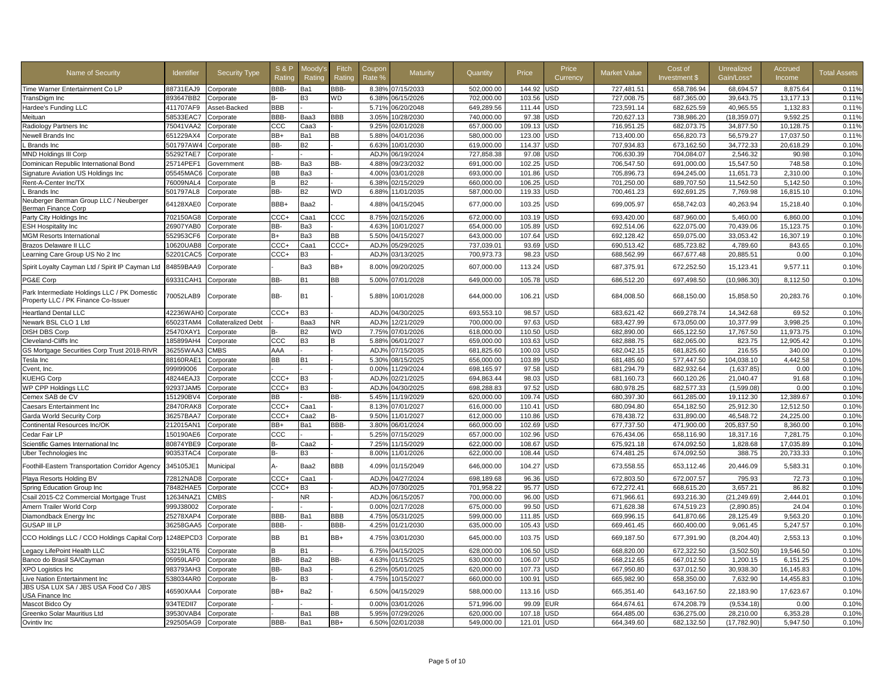| Name of Security                                                                    | <b>Identifier</b>   | <b>Security Type</b>       | <b>S&amp;P</b><br>Ratino | Moodv's<br>Rating | Fitch<br>Ratino | Coupon<br>Rate % | Maturity         | Quantity   | Price      | Price<br>Currency | <b>Market Value</b> | Cost of<br>Investment \$ | Unrealized<br>Gain/Loss* | Accrued<br>Income | <b>Total Assets</b> |
|-------------------------------------------------------------------------------------|---------------------|----------------------------|--------------------------|-------------------|-----------------|------------------|------------------|------------|------------|-------------------|---------------------|--------------------------|--------------------------|-------------------|---------------------|
| Time Warner Entertainment Co LP                                                     | 88731EAJ9           | Corporate                  | BBB-                     | Ba1               | BBB-            |                  | 8.38% 07/15/2033 | 502.000.00 | 144.92     | USD               | 727.481.51          | 658.786.94               | 68.694.57                | 8.875.64          | 0.11%               |
| TransDigm Inc                                                                       | 893647BB2           | Corporate                  |                          | B3                | <b>WD</b>       | 6.38%            | 06/15/2026       | 702,000.00 | 103.56     | JSD               | 727,008.75          | 687,365.00               | 39,643.75                | 13,177.13         | 0.11%               |
| Hardee's Funding LLC                                                                | 411707AF9           | Asset-Backed               | BBB                      |                   |                 | 5.71%            | 06/20/2048       | 649,289.56 | 111.44     | USD               | 723,591.14          | 682,625.59               | 40,965.55                | 1,132.83          | 0.11%               |
| Meituan                                                                             | 58533EAC7           | Corporate                  | BBB-                     | Baa3              | <b>BBB</b>      | 3.05%            | 10/28/2030       | 740,000.00 | 97.38      | <b>JSD</b>        | 720,627.13          | 738,986.20               | (18, 359.07)             | 9,592.25          | 0.11%               |
| Radiology Partners Inc                                                              | 75041VAA2           | Corporate                  | CCC                      | СааЗ              |                 | 9.25%            | 02/01/2028       | 657,000.00 | 109.13     | JSD               | 716,951.25          | 682,073.75               | 34,877.50                | 10,128.75         | 0.11%               |
| Newell Brands Inc                                                                   | 651229AX4           | Corporate                  | BB+                      | Ba1               | BB              | 5.88%            | 04/01/2036       | 580,000.00 | 123.00     | <b>JSD</b>        | 713,400.00          | 656,820.73               | 56,579.27                | 17,037.50         | 0.11%               |
| Brands Inc                                                                          | 501797AW4           | Corporate                  | BB-                      | <b>B2</b>         |                 | 6.63%            | 10/01/2030       | 619,000.00 | 114.37     | JSD               | 707,934.83          | 673,162.50               | 34,772.33                | 20,618.29         | 0.10%               |
| MND Holdings III Corp                                                               | 55292TAE7           | Corporate                  |                          |                   |                 | ADJ <sub>9</sub> | 06/19/2024       | 727,858.38 | 97.08      | <b>JSD</b>        | 706,630.39          | 704,084.07               | 2,546.32                 | 90.98             | 0.10%               |
| Dominican Republic International Bond                                               | 25714PEF1           | Government                 | BB-                      | Ba3               | BB-             | 4.88%            | 09/23/2032       | 691,000.00 | 102.25     | <b>JSD</b>        | 706,547.50          | 691,000.00               | 15.547.50                | 748.58            | 0.10%               |
| Signature Aviation US Holdings Inc                                                  | 05545MAC6           | Corporate                  | <b>BB</b>                | Ba3               |                 | 4.00%            | 03/01/2028       | 693,000.00 | 101.86     | <b>JSD</b>        | 705,896.73          | 694,245.00               | 11,651.73                | 2,310.00          | 0.10%               |
| Rent-A-Center Inc/TX                                                                | 76009NAL4           | Corporate                  |                          | <b>B2</b>         |                 | 6.38%            | 02/15/2029       | 660,000.00 | 106.25     | JSD               | 701,250.00          | 689,707.50               | 11.542.50                | 5,142.50          | 0.10%               |
| <b>Brands</b> Inc                                                                   | 501797AL8           | Corporate                  | BB-                      | <b>B2</b>         | <b>WD</b>       | 6.88%            | 11/01/2035       | 587,000.00 | 119.33     | <b>JSD</b>        | 700,461.23          | 692,691.25               | 7,769.98                 | 16,815.10         | 0.10%               |
| Neuberger Berman Group LLC / Neuberger<br>Berman Finance Corp                       | 64128XAE0           | Corporate                  | BBB+                     | Baa2              |                 | 4.88%            | 04/15/2045       | 677,000.00 | 103.25     | <b>JSD</b>        | 699,005.97          | 658,742.03               | 40,263.94                | 15,218.40         | 0.10%               |
| Party City Holdings Inc                                                             | 702150AG8           | Corporate                  | $_{\text{CCC+}}$         | Caa1              | $_{\rm ccc}$    | 8.75%            | 02/15/2026       | 672,000.00 | 103.19     | USD               | 693,420.00          | 687,960.00               | 5,460.00                 | 6,860.00          | 0.10%               |
| <b>ESH Hospitality Inc</b>                                                          | 26907YAB0           | Corporate                  | BB-                      | Ba3               |                 | 4.63%            | 10/01/2027       | 654,000.00 | 105.89     | <b>JSD</b>        | 692,514.06          | 622,075.00               | 70,439.06                | 15,123.75         | 0.10%               |
| <b>MGM Resorts International</b>                                                    | 552953CF6           | Corporate                  | B+                       | Ba3               | BB              | 5.50%            | 04/15/2027       | 643,000.00 | 107.64     | USD               | 692,128.42          | 659,075.00               | 33,053.42                | 16,307.19         | 0.10%               |
| <b>Brazos Delaware II LLC</b>                                                       | 10620UAB8           | Corporate                  | CCC+                     | Caa1              | CCC+            | ADJ <sub>9</sub> | 05/29/2025       | 737,039.01 | 93.69      | <b>JSD</b>        | 690,513.42          | 685,723.82               | 4,789.60                 | 843.65            | 0.10%               |
| Learning Care Group US No 2 Inc                                                     | 52201CAC5           | Corporate                  | CCC+                     | B <sub>3</sub>    |                 | ADJ%             | 03/13/2025       | 700,973.73 | 98.23      | JSD               | 688,562.99          | 667,677.48               | 20,885.51                | 0.00              | 0.10%               |
| Spirit Loyalty Cayman Ltd / Spirit IP Cayman Ltd                                    | 84859BAA9           | Corporate                  |                          | Ba3               | BB+             | 8.00%            | 09/20/2025       | 607,000.00 | 113.24     | JSD               | 687,375.91          | 672,252.50               | 15,123.41                | 9,577.1'          | 0.10%               |
| PG&E Corp                                                                           | 69331CAH1           | Corporate                  | BB-                      | <b>B1</b>         | BB              | 5.00%            | 07/01/2028       | 649,000.00 | 105.78     | <b>JSD</b>        | 686,512.20          | 697,498.50               | (10, 986.30)             | 8,112.50          | 0.10%               |
| Park Intermediate Holdings LLC / PK Domestic<br>Property LLC / PK Finance Co-Issuer | 70052LAB9           | Corporate                  | BB-                      | <b>B1</b>         |                 |                  | 5.88% 10/01/2028 | 644,000.00 | 106.21 USD |                   | 684,008.50          | 668,150.00               | 15,858.50                | 20,283.76         | 0.10%               |
| <b>Heartland Dental LLC</b>                                                         | 42236WAH0           | Corporate                  | CCC+                     | B <sub>3</sub>    |                 | ADJ%             | 04/30/2025       | 693,553.10 | 98.57      | <b>USD</b>        | 683,621.42          | 669,278.74               | 14,342.68                | 69.52             | 0.10%               |
| Newark BSL CLO 1 Ltd                                                                | 65023TAM4           | <b>Collateralized Debt</b> |                          | Baa3              | <b>NR</b>       | ADJ%             | 12/21/2029       | 700.000.00 | 97.63      | USD               | 683.427.99          | 673.050.00               | 10.377.99                | 3.998.25          | 0.10%               |
| <b>DISH DBS Corp</b>                                                                | 25470XAY1           | Corporate                  | в-                       | <b>B2</b>         | WD              |                  | 7.75% 07/01/2026 | 618,000.00 | 110.50     | USD               | 682,890.00          | 665,122.50               | 17,767.50                | 11,973.75         | 0.10%               |
| Cleveland-Cliffs Inc                                                                | 185899AH4           | Corporate                  | $_{\rm ccc}$             | B <sub>3</sub>    |                 | 5.88%            | 06/01/2027       | 659,000.00 | 103.63     | JSD               | 682,888.75          | 682,065.00               | 823.75                   | 12.905.42         | 0.10%               |
| GS Mortgage Securities Corp Trust 2018-RIVR                                         | 36255WAA3           | <b>CMBS</b>                | AAA                      |                   |                 | ADJ%             | 07/15/2035       | 681,825.60 | 100.03     | JSD               | 682,042.15          | 681,825.60               | 216.55                   | 340.00            | 0.10%               |
| Tesla Inc                                                                           | 88160RAE1           | Corporate                  | ВB                       | <b>B1</b>         |                 | 5.30%            | 08/15/2025       | 656,000.00 | 103.89     | <b>JSD</b>        | 681,485.60          | 577,447.50               | 104,038.10               | 4,442.58          | 0.10%               |
| Cvent, Inc.                                                                         | 999199006           | Corporate                  |                          |                   |                 | 0.00%            | 11/29/2024       | 698,165.97 | 97.58      | JSD               | 681,294.79          | 682,932.64               | (1,637.85)               | 0.00              | 0.10%               |
| <b>KUEHG Corp</b>                                                                   | 48244EAJ3           | Corporate                  | CCC+                     | B <sub>3</sub>    |                 | ADJ%             | 02/21/2025       | 694,863.44 | 98.03      | JSD               | 681,160.73          | 660,120.26               | 21,040.47                | 91.68             | 0.10%               |
| WP CPP Holdings LLC                                                                 | 92937JAM5           | Corporate                  | $_{\text{CCC+}}$         | B <sub>3</sub>    |                 | ADJ%             | 04/30/2025       | 698,288.83 | 97.52      | <b>JSD</b>        | 680,978.25          | 682,577.33               | (1,599.08)               | 0.00              | 0.10%               |
| Cemex SAB de CV                                                                     | 151290BV4           | Corporate                  | BB.                      |                   | BB-             | 5.45%            | 11/19/2029       | 620,000.00 | 109.74     | USD               | 680,397.30          | 661,285.00               | 19,112.30                | 12.389.67         | 0.10%               |
| Caesars Entertainment Inc                                                           | 28470RAK8           | Corporate                  | CCC+                     | Caa1              |                 | 8.13%            | 07/01/2027       | 616,000.00 | 110.41     | USD               | 680,094.80          | 654,182.50               | 25,912.30                | 12,512.50         | 0.10%               |
| Garda World Security Corp                                                           | 36257BAA7           | Corporate                  | CCC+                     | Caa2              | B-              | 9.50%            | 11/01/2027       | 612,000.00 | 110.86     | USD               | 678,438.72          | 631,890.00               | 46.548.72                | 24.225.00         | 0.10%               |
| Continental Resources Inc/OK                                                        | 212015AN1           | Corporate                  | BB+                      | Ba1               | BBB-            | 3.80%            | 06/01/2024       | 660.000.00 | 102.69     | <b>JSD</b>        | 677.737.50          | 471.900.00               | 205.837.50               | 8.360.00          | 0.10%               |
| Cedar Fair LP                                                                       | 150190AE6           | Corporate                  | CCC                      |                   |                 | 5.25%            | 07/15/2029       | 657,000.00 | 102.96     | <b>JSD</b>        | 676,434.06          | 658,116.90               | 18,317.16                | 7,281.75          | 0.10%               |
| Scientific Games International Inc                                                  | 80874YBE9           | Corporate                  | R-                       | Caa2              |                 | 7.25%            | 11/15/2029       | 622.000.00 | 108.67     | <b>JSD</b>        | 675.921.18          | 674.092.50               | 1.828.68                 | 17.035.89         | 0.10%               |
| Uber Technologies Inc                                                               | 90353TAC4           | Corporate                  | R-                       | B <sub>3</sub>    |                 | 8.00%            | 11/01/2026       | 622,000.00 | 108.44     | JSD               | 674,481.25          | 674,092.50               | 388.75                   | 20,733.33         | 0.10%               |
| Foothill-Eastern Transportation Corridor Agency                                     | 345105JE1           | Municipal                  | Δ.                       | Baa2              | <b>BBB</b>      | 4.09%            | 01/15/2049       | 646,000.00 | 104.27     | USD               | 673,558.55          | 653,112.46               | 20,446.09                | 5,583.3           | 0.10%               |
| Playa Resorts Holding BV                                                            | 72812NAD8           | Corporate                  | CCC+                     | Caa1              |                 | ADJ%             | 04/27/2024       | 698.189.68 | 96.36      | USD               | 672.803.50          | 672.007.57               | 795.93                   | 72.73             | 0.10%               |
| Spring Education Group Inc                                                          | 78482HAE5           | Corporate                  | CCC+                     | B <sub>3</sub>    |                 | ADJ%             | 07/30/2025       | 701.958.22 | 95.77      | USD               | 672.272.41          | 668.615.20               | 3.657.21                 | 86.82             | 0.10%               |
| Csail 2015-C2 Commercial Mortgage Trust                                             | 12634NAZ1           | <b>CMBS</b>                |                          | <b>NR</b>         |                 | ADJ%             | 06/15/2057       | 700,000.00 | 96.00      | JSD               | 671,966.61          | 693,216.30               | (21, 249.69)             | 2,444.01          | 0.10%               |
| Amern Trailer World Corp                                                            | 999J38002           | Corporate                  |                          |                   |                 | 0.00%            | 02/17/2028       | 675,000.00 | 99.50      | JSD               | 671,628.38          | 674,519.23               | (2,890.85)               | 24.04             | 0.10%               |
| Diamondback Energy Inc                                                              | 25278XAP4           | Corporate                  | BBB-                     | Ba1               | BBB             | 4.75%            | 05/31/2025       | 599.000.00 | 111.85     | <b>JSD</b>        | 669.996.15          | 641.870.66               | 28.125.49                | 9.563.20          | 0.10%               |
| <b>GUSAP III LP</b>                                                                 | 36258GAA5           | Corporate                  | BBB-                     |                   | BBB-            | 4.25%            | 01/21/2030       | 635,000.00 | 105.43     | <b>JSD</b>        | 669,461.45          | 660,400.00               | 9,061.45                 | 5,247.57          | 0.10%               |
| CCO Holdings LLC / CCO Holdings Capital Corp                                        | 1248EPCD3           | Corporate                  | ВB                       | <b>B1</b>         | BB+             | 4.75%            | 03/01/2030       | 645,000.00 | 103.75     | USD               | 669,187.50          | 677,391.90               | (8, 204.40)              | 2,553.13          | 0.10%               |
| Legacy LifePoint Health LLC                                                         | 53219LAT6           | Corporate                  | B                        | <b>B1</b>         |                 | 6.75%            | 04/15/2025       | 628,000.00 | 106.50     | USD               | 668,820.00          | 672,322.50               | (3,502.50)               | 19.546.50         | 0.10%               |
| Banco do Brasil SA/Cayman                                                           | 05959LAF0           | Corporate                  | BB-                      | Ba2               | BB-             | 4.63%            | 01/15/2025       | 630.000.00 | 106.07     | USD               | 668.212.65          | 667.012.50               | 1,200.15                 | 6.151.25          | 0.10%               |
| XPO Logistics Inc                                                                   | 983793AH3           | Corporate                  | BB-                      | Ba3               |                 | 6.25%            | 05/01/2025       | 620,000.00 | 107.73     | JSD               | 667,950.80          | 637,012.50               | 30,938.30                | 16,145.83         | 0.10%               |
| Live Nation Entertainment Inc                                                       | 538034AR0           | Corporate                  | в-                       | B <sub>3</sub>    |                 | 4.75%            | 10/15/2027       | 660,000.00 | 100.91     | USD               | 665,982.90          | 658,350.00               | 7,632.90                 | 14,455.83         | 0.10%               |
| JBS USA LUX SA / JBS USA Food Co / JBS<br>USA Finance Inc                           | 46590XAA4           | Corporate                  | BB+                      | Ba2               |                 | 6.50%            | 04/15/2029       | 588,000.00 | 113.16     | USD               | 665,351.40          | 643,167.50               | 22,183.90                | 17,623.67         | 0.10%               |
| Mascot Bidco Oy                                                                     | 934TEDII7           | Corporate                  |                          |                   |                 | 0.00%            | 03/01/2026       | 571,996.00 | 99.09      | EUR               | 664,674.61          | 674,208.79               | (9,534.18)               | 0.00              | 0.10%               |
| Greenko Solar Mauritius Ltd                                                         | 39530VAB4           | Corporate                  |                          | Ba1               | BB              | 5.95%            | 07/29/2026       | 620,000.00 | 107.18     | JSD               | 664,485.00          | 636,275.00               | 28,210.00                | 6,353.28          | 0.10%               |
| Ovintiv Inc                                                                         | 292505AG9 Corporate |                            | BBB-                     | Ba1               | BB+             |                  | 6.50% 02/01/2038 | 549.000.00 | 121.01 USD |                   | 664,349.60          | 682,132.50               | (17, 782.90)             | 5,947.50          | 0.10%               |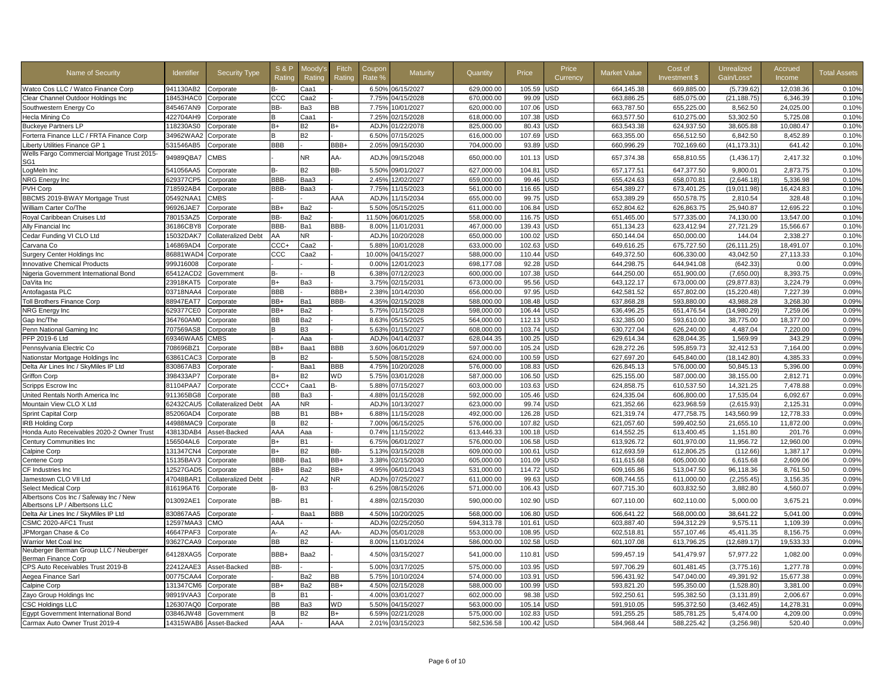| Name of Security                                                         | <b>Identifier</b> | <b>Security Type</b>       | <b>S&amp;P</b><br>Rating | Moodv'<br>Rating | Fitch<br>Rating | Coupor<br>Rate %   | Maturity   | Quantity   | Price  | Price<br>Currency | <b>Market Value</b> | Cost of<br>Investment \$ | Unrealized<br>Gain/Loss' | Accrued<br>Income | <b>Total Assets</b> |
|--------------------------------------------------------------------------|-------------------|----------------------------|--------------------------|------------------|-----------------|--------------------|------------|------------|--------|-------------------|---------------------|--------------------------|--------------------------|-------------------|---------------------|
| Watco Cos LLC / Watco Finance Corp                                       | 941130AB2         | Corporate                  | в-                       | Caa1             |                 | 6.50%              | 06/15/2027 | 629,000.00 | 105.59 | <b>USD</b>        | 664,145.38          | 669,885.00               | (5,739.62)               | 12,038.36         | 0.10%               |
| Clear Channel Outdoor Holdings Inc                                       | 18453HAC0         | Corporate                  | CCC                      | Caa2             |                 | 7.75%              | 14/15/2028 | 670,000.00 | 99.09  | USD               | 663,886.25          | 685,075.00               | (21, 188.75)             | 6,346.39          | 0.10%               |
| Southwestern Energy Co                                                   | 845467AN9         | Corporate                  | BB-                      | Ba3              | BВ              | 7.75%              | 0/01/2027  | 620,000.00 | 107.06 | USD               | 663,787.50          | 655,225.00               | 8,562.50                 | 24.025.00         | 0.10%               |
| Hecla Mining Co                                                          | 422704AH9         | Corporate                  |                          | Caa1             |                 | 7.25%              | 2/15/2028  | 618,000.00 | 107.38 | <b>JSD</b>        | 663,577.50          | 610,275.00               | 53,302.50                | 5,725.08          | 0.10%               |
| <b>Buckeye Partners LP</b>                                               | 118230AS0         | Corporate                  | $B+$                     | <b>B2</b>        | B+              | ADJ <sup>o</sup>   | 1/22/2078  | 825,000.00 | 80.43  | USD               | 663,543.38          | 624,937.50               | 38,605.88                | 10,080.47         | 0.10%               |
| Forterra Finance LLC / FRTA Finance Corp                                 | 34962WAA2         | Corporate                  |                          | <b>B2</b>        |                 | 6.50 <sup>°</sup>  | 7/15/2025  | 616,000.00 | 107.69 | <b>JSD</b>        | 663,355.00          | 656,512.50               | 6.842.50                 | 8,452.89          | 0.10%               |
| Liberty Utilities Finance GP 1                                           | 531546AB5         | Corporate                  | BBB                      |                  | BBB+            | 2.05%              | 09/15/2030 | 704,000.00 | 93.89  | <b>USD</b>        | 660,996.29          | 702,169.60               | (41, 173.31)             | 641.42            | 0.10%               |
| Wells Fargo Commercial Mortgage Trust 2015-<br>SG <sub>1</sub>           | 94989QBA7         | <b>CMBS</b>                |                          | N <sub>R</sub>   | AA-             | ADJ <sup>®</sup>   | 09/15/2048 | 650,000.00 | 101.13 | USD               | 657,374.38          | 658,810.55               | (1,436.17)               | 2,417.32          | 0.10%               |
| LogMeIn Inc                                                              | 541056AA5         | Corporate                  | R.                       | <b>B2</b>        | BB-             | 5.50%              | 9/01/2027  | 627,000.00 | 104.81 | USD               | 657.177.51          | 647,377.50               | 9,800.01                 | 2.873.75          | 0.10%               |
| NRG Energy Inc                                                           | 629377CP5         | Corporate                  | BBB-                     | Baa3             |                 | 2.45%              | 12/02/2027 | 659,000.00 | 99.46  | USD               | 655,424.63          | 658,070.81               | (2,646.18)               | 5,336.98          | 0.10%               |
| PVH Corp                                                                 | 718592AB4         | Corporate                  | BBB-                     | Baa3             |                 | 7.75%              | 1/15/2023  | 561,000.00 | 116.65 | JSD               | 654,389.27          | 673,401.25               | (19,011.98               | 16,424.83         | 0.10%               |
| BBCMS 2019-BWAY Mortgage Trust                                           | 05492NAA1         | <b>CMBS</b>                |                          |                  | AAA             | ADJ%               | 11/15/2034 | 655,000.00 | 99.75  | USD               | 653,389.29          | 650,578.75               | 2,810.54                 | 328.48            | 0.10%               |
| William Carter Co/The                                                    | 96926JAE7         | Corporate                  | BB+                      | Ba2              |                 | $5.50^{\circ}$     | 5/15/2025  | 611,000.00 | 106.84 | USD               | 652,804.62          | 626,863.75               | 25,940.87                | 12,695.22         | 0.10%               |
| Royal Caribbean Cruises Ltd                                              | 780153AZ5         | Corporate                  | BB-                      | Ba2              |                 | 11.50 <sup>°</sup> | 6/01/2025  | 558,000.00 | 116.75 | USD               | 651,465.00          | 577,335.00               | 74,130.00                | 13,547.00         | 0.10%               |
| Ally Financial Inc                                                       | 36186CBY8         | Corporate                  | BBB-                     | Ba1              | BBB-            | 8.00%              | 11/01/2031 | 467,000.00 | 139.43 | USD               | 651,134.23          | 623,412.94               | 27,721.29                | 15,566.67         | 0.10%               |
| Cedar Funding VI CLO Ltd                                                 | 15032DAK7         | <b>Collateralized Debt</b> | AA                       | NR.              |                 | ADJ <sub>9</sub>   | 10/20/2028 | 650.000.00 | 100.02 | USD               | 650,144.04          | 650.000.00               | 144.04                   | 2.338.27          | 0.10%               |
| Carvana Co                                                               | 146869AD4         | Corporate                  | CCC+                     | Caa2             |                 | 5.889              | 0/01/2028  | 633.000.00 | 102.63 | USD               | 649.616.25          | 675,727.50               | (26, 111.25)             | 18.491.07         | 0.10%               |
| <b>Surgery Center Holdings Inc</b>                                       | 86881WAD4         | Corporate                  | ccc                      | Caa2             |                 | 10.00              | 14/15/2027 | 588,000.00 | 110.44 | USD               | 649,372.50          | 606,330.00               | 43.042.50                | 27,113.33         | 0.10%               |
| <b>Innovative Chemical Products</b>                                      | 999J16008         | Corporate                  |                          |                  |                 | 0.009              | 12/01/2023 | 698.177.08 | 92.28  | JSD               | 644.298.75          | 644.941.08               | (642.33                  | 0.00              | 0.09%               |
| Nigeria Government International Bond                                    | 65412ACD2         | Government                 |                          |                  |                 | 6.38%              | 7/12/2023  | 600,000.00 | 107.38 | JSD               | 644,250.00          | 651,900.00               | (7,650.00)               | 8,393.75          | 0.09%               |
| DaVita Inc                                                               | 23918KAT5         | Corporate                  | $B+$                     | Ba3              |                 | $3.75^{\circ}$     | 2/15/2031  | 673,000.00 | 95.56  | USD               | 643,122.17          | 673,000.00               | (29.877.83)              | 3,224.79          | 0.09%               |
| Antofagasta PLC                                                          | 03718NAA4         | Corporate                  | <b>BBB</b>               |                  | BBB+            | 2.38%              | 0/14/2030  | 656,000.00 | 97.95  | <b>JSD</b>        | 642.581.52          | 657,802.00               | (15, 220.48)             | 7,227.39          | 0.09%               |
| <b>Toll Brothers Finance Corp</b>                                        | 88947EAT7         | Corporate                  | BB+                      | Ba1              | BBB-            | 4.35%              | 2/15/2028  | 588,000.00 | 108.48 | JSD               | 637,868.28          | 593,880.00               | 43,988.28                | 3,268.30          | 0.09%               |
| NRG Energy Inc                                                           | 629377CE0         | Corporate                  | BB+                      | Ba2              |                 | 5.75%              | 1/15/2028  | 598,000.00 | 106.44 | JSD               | 636,496.25          | 651,476.54               | (14,980.29               | 7,259.06          | 0.09%               |
| Gap Inc/The                                                              | 364760AM0         | Corporate                  | BB                       | Ba2              |                 | 8.63%              | 15/15/2025 | 564,000.00 | 112.13 | USD               | 632,385.00          | 593,610.00               | 38,775.00                | 18,377.00         | 0.09%               |
| Penn National Gaming Inc                                                 | 707569AS8         | Corporate                  | R.                       | B <sub>3</sub>   |                 | 5.63%              | 01/15/2027 | 608,000.00 | 103.74 | <b>USD</b>        | 630,727.04          | 626,240.00               | 4,487.04                 | 7,220.00          | 0.09%               |
| PFP 2019-6 Ltd                                                           | 69346WAA5         | <b>CMBS</b>                |                          | Aaa              |                 | AD.J <sub>9</sub>  | 04/14/2037 | 628,044.35 | 100.25 | USD               | 629.614.34          | 628,044.35               | 1.569.99                 | 343.29            | 0.09%               |
| Pennsylvania Electric Co                                                 | 708696BZ1         | Corporate                  | BB+                      | Baa1             | <b>BBB</b>      | $3.60^{\circ}$     | 06/01/2029 | 597,000.00 | 105.24 | <b>USD</b>        | 628,272.26          | 595,859.73               | 32,412.53                | 7,164.00          | 0.09%               |
| Nationstar Mortgage Holdings Inc                                         | 63861CAC3         | Corporate                  |                          | B <sub>2</sub>   |                 | 5.50%              | 8/15/2028  | 624,000.00 | 100.59 | <b>USD</b>        | 627,697.20          | 645.840.00               | (18.142.80               | 4,385.33          | 0.09%               |
| Delta Air Lines Inc / SkyMiles IP Ltd                                    | 830867AB3         | Corporate                  |                          | Baa1             | <b>BBB</b>      | 4.75%              | 0/20/2028  | 576,000.00 | 108.83 | USD               | 626,845.13          | 576,000.00               | 50,845.13                | 5,396.00          | 0.09%               |
| <b>Griffon Corp</b>                                                      | 398433AP7         | Corporate                  | $B+$                     | <b>B2</b>        | WD              | 5.75%              | 3/01/2028  | 587.000.00 | 106.50 | USD               | 625,155.00          | 587.000.00               | 38,155.00                | 2.812.71          | 0.09%               |
| Scripps Escrow Inc                                                       | 81104PAA7         | Corporate                  | CCC+                     | Caa1             | R-              | 5.889              | 07/15/2027 | 603.000.00 | 103.63 | USD               | 624.858.75          | 610.537.50               | 14.321.25                | 7.478.88          | 0.09%               |
| United Rentals North America Inc                                         | 911365BG8         | Corporate                  | ВB                       | Ba3              |                 | 4.88%              | 1/15/2028  | 592,000.00 | 105.46 | USD               | 624,335.04          | 606,800.00               | 17,535.04                | 6,092.67          | 0.09%               |
| Mountain View CLO X Ltd                                                  | 62432CAU5         | <b>Collateralized Debt</b> | AA                       | <b>NR</b>        |                 | ADJ <sub>9</sub>   | 10/13/2027 | 623.000.00 | 99.74  | USD               | 621,352.66          | 623,968.59               | (2.615.93)               | 2.125.31          | 0.09%               |
| Sprint Capital Corp                                                      | 852060AD4         | Corporate                  | BB                       | <b>B1</b>        | BB+             | 6.88%              | 1/15/2028  | 492,000.00 | 126.28 | <b>JSD</b>        | 621,319.74          | 477,758.75               | 143,560.99               | 12,778.33         | 0.09%               |
| <b>IRB Holding Corp</b>                                                  | 44988MAC9         | Corporate                  | B                        | B <sub>2</sub>   |                 | 7.00 <sup>°</sup>  | 06/15/2025 | 576,000.00 | 107.82 | USD               | 621,057.60          | 599,402.50               | 21,655.10                | 11,872.00         | 0.09%               |
| Honda Auto Receivables 2020-2 Owner Trust                                | 43813DAB4         | Asset-Backed               | AAA                      | Aaa              |                 | 0.74%              | 11/15/2022 | 613,446.33 | 100.18 | <b>JSD</b>        | 614,552.25          | 613,400.45               | 1,151.80                 | 201.76            | 0.09%               |
| Century Communities Inc                                                  | 156504AL6         | Corporate                  | $B+$                     | <b>B1</b>        |                 | 6.75%              | 6/01/2027  | 576,000.00 | 106.58 | USD               | 613,926.72          | 601,970.00               | 11,956.72                | 12,960.00         | 0.09%               |
| Calpine Corp                                                             | 131347CN4         | Corporate                  | $B+$                     | <b>B2</b>        | BB-             | 5.13%              | 3/15/2028  | 609,000.00 | 100.61 | USD               | 612,693.59          | 612,806.25               | (112.66)                 | 1,387.17          | 0.09%               |
| Centene Corp                                                             | 15135BAV3         | Corporate                  | BBB-                     | Ba1              | BB+             | 3.38%              | 2/15/2030  | 605,000.00 | 101.09 | USD               | 611,615.68          | 605,000.00               | 6,615.68                 | 2,609.06          | 0.09%               |
| CF Industries Inc.                                                       | 12527GAD5         | Corporate                  | BB+                      | Ba2              | BB+             | 4.95%              | 06/01/2043 | 531,000.00 | 114.72 | USD               | 609,165.86          | 513,047.50               | 96,118.36                | 8,761.50          | 0.09%               |
| Jamestown CLO VII Ltd                                                    | 47048BAR1         | <b>Collateralized Debt</b> |                          | A2               | NR.             | ADJ <sub>9</sub>   | 07/25/2027 | 611.000.00 | 99.63  | USD               | 608,744.55          | 611.000.00               | (2, 255.45)              | 3,156.35          | 0.09%               |
| <b>Select Medical Corp</b>                                               | 816196AT6         | Corporate                  | B-                       | B <sub>3</sub>   |                 | $6.25^{\circ}$     | 08/15/2026 | 571,000.00 | 106.43 | USD               | 607,715.30          | 603,832.50               | 3,882.80                 | 4,560.07          | 0.09%               |
| Albertsons Cos Inc / Safeway Inc / New<br>Albertsons LP / Albertsons LLC | 013092AE1         | Corporate                  | BB-                      | <b>B1</b>        |                 | 4.889              | 02/15/2030 | 590,000.00 | 102.90 | USD               | 607,110.00          | 602,110.00               | 5,000.00                 | 3,675.21          | 0.09%               |
| Delta Air Lines Inc / SkyMiles IP Ltd                                    | 830867AA5         | Corporate                  |                          | Baa1             | BBB             | 4.50%              | 10/20/2025 | 568,000.00 | 106.80 | <b>USD</b>        | 606,641.22          | 568,000.00               | 38,641.22                | 5,041.00          | 0.09%               |
| CSMC 2020-AFC1 Trust                                                     | 12597MAA3         | CMO                        | AAA                      |                  |                 | ADJ <sup>o</sup>   | 02/25/2050 | 594,313.78 | 101.61 | <b>USD</b>        | 603,887.40          | 594,312.29               | 9,575.11                 | 1,109.39          | 0.09%               |
| JPMorgan Chase & Co                                                      | 46647PAF3         | Corporate                  | А-                       | A <sub>2</sub>   | AA-             | ADJ <sup>®</sup>   | 15/01/2028 | 553,000.00 | 108.95 | USD               | 602,518.81          | 557,107.46               | 45.411.35                | 8,156.75          | 0.09%               |
| Warrior Met Coal Inc                                                     | 93627CAA9         | Corporate                  | BB                       | <b>B2</b>        |                 | 8.00%              | 11/01/2024 | 586.000.00 | 102.58 | USD               | 601,107.08          | 613,796.25               | (12,689.17)              | 19,533.33         | 0.09%               |
| Neuberger Berman Group LLC / Neuberger<br>Berman Finance Corp            | 64128XAG5         | Corporate                  | BBB+                     | Baa2             |                 | 4.50%              | 03/15/2027 | 541,000.00 | 110.81 | USD               | 599,457.19          | 541,479.97               | 57,977.22                | 1,082.00          | 0.09%               |
| CPS Auto Receivables Trust 2019-B                                        | 22412AAE3         | Asset-Backed               | BB-                      |                  |                 | 5.00%              | 3/17/2025  | 575,000.00 | 103.95 | USD               | 597,706.29          | 601,481.45               | (3,775.16)               | 1,277.78          | 0.09%               |
| Aegea Finance Sarl                                                       | 00775CAA4         | Corporate                  |                          | Ba2              | <b>BB</b>       | 5.75%              | 10/10/2024 | 574,000.00 | 103.91 | <b>USD</b>        | 596,431.92          | 547,040.00               | 49,391.92                | 15,677.38         | 0.09%               |
| Calpine Corp                                                             | 131347CM6         | Corporate                  | BB+                      | Ba2              | BB+             | 4.50%              | 02/15/2028 | 588,000.00 | 100.99 | USD               | 593,821.20          | 595,350.00               | (1,528.80)               | 3,381.00          | 0.09%               |
| Zayo Group Holdings Inc                                                  | 98919VAA3         | Corporate                  | В                        | <b>B1</b>        |                 | 4.00 <sup>°</sup>  | 3/01/2027  | 602,000.00 | 98.38  | JSD               | 592,250.61          | 595,382.50               | (3, 131.89)              | 2,006.67          | 0.09%               |
| <b>CSC Holdings LLC</b>                                                  | 126307AQ0         | Corporate                  | BB                       | Ba3              | WD              | 5.50%              | 4/15/2027  | 563.000.00 | 105.14 | JSD               | 591.910.05          | 595.372.50               | (3,462.45)               | 14.278.3          | 0.09%               |
| Egypt Government International Bond                                      | 03846JW48         | Government                 | B                        | <b>B2</b>        | B+              | 6.59%              | 2/21/2028  | 575,000.00 | 102.83 | USD               | 591,255.25          | 585,781.25               | 5,474.00                 | 4,209.00          | 0.09%               |
| Carmax Auto Owner Trust 2019-4                                           | 14315WAB6         | Asset-Backed               | AAA                      |                  | AAA             | 2.01%              | 03/15/2023 | 582,536.58 | 100.42 | <b>USD</b>        | 584,968.44          | 588,225.42               | (3,256.98)               | 520.40            | 0.09%               |
|                                                                          |                   |                            |                          |                  |                 |                    |            |            |        |                   |                     |                          |                          |                   |                     |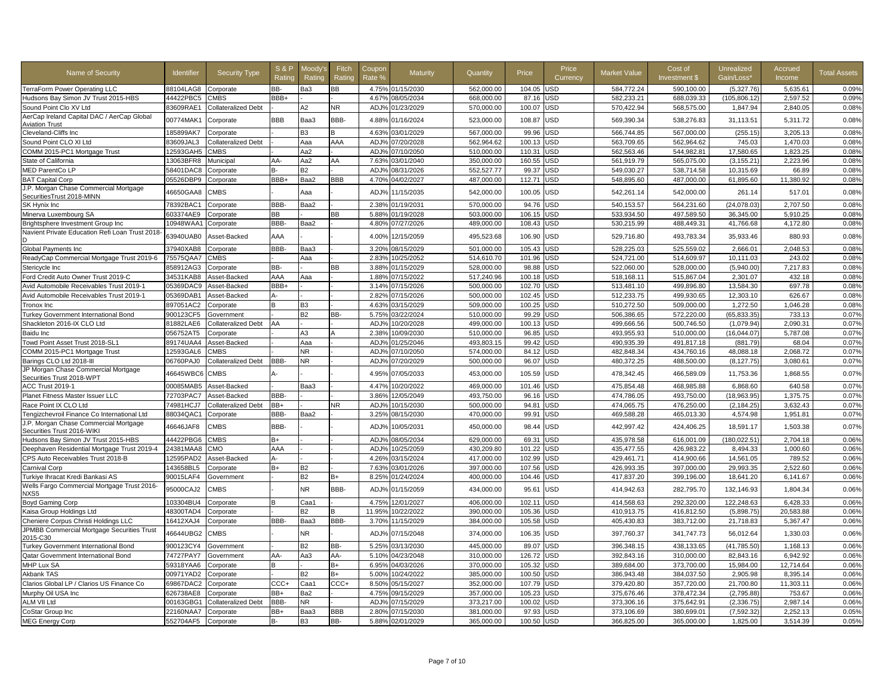| Name of Security                                                    | <b>Identifier</b>      | <b>Security Type</b> | <b>S&amp;P</b><br>Ratino | Moodv's<br>Rating | Fitch<br>Rating  | Coupon<br>Rate %  | Maturity                 | Quantity                 | Price            | Price<br>Currency | <b>Market Value</b>      | Cost of<br>Investment \$ | Unrealized<br>Gain/Loss'  | Accrued<br>Income  | <b>Total Assets</b> |
|---------------------------------------------------------------------|------------------------|----------------------|--------------------------|-------------------|------------------|-------------------|--------------------------|--------------------------|------------------|-------------------|--------------------------|--------------------------|---------------------------|--------------------|---------------------|
| TerraForm Power Operating LLC                                       | 88104LAG8              | Corporate            | BB-                      | Ba3               | BВ               |                   | 4.75% 01/15/2030         | 562.000.00               | 104.05           | <b>JSD</b>        | 584.772.24               | 590.100.00               | (5.327.76)                | 5.635.61           | 0.09%               |
| Hudsons Bay Simon JV Trust 2015-HBS                                 | 44422PBC5              | <b>CMBS</b>          | BBB+                     |                   |                  | 4.67%             | 08/05/2034               | 668.000.00               | 87.16            | <b>JSD</b>        | 582.233.21               | 688.039.33               | (105.806.12)              | 2.597.52           | 0.09%               |
| Sound Point Clo XV Ltd                                              | 83609RAE1              | Collateralized Debt  |                          | A2                | ΝR               | ADJ%              | 01/23/2029               | 570,000.00               | 100.07           | <b>JSD</b>        | 570,422.94               | 568,575.00               | 1,847.94                  | 2,840.05           | 0.08%               |
| AerCap Ireland Capital DAC / AerCap Global<br><b>Aviation Trust</b> | 00774MAK1              | Corporate            | <b>BBB</b>               | Baa3              | BBB-             | 4.88%             | 01/16/2024               | 523,000.00               | 108.87           | USD               | 569,390.34               | 538,276.83               | 31,113.51                 | 5,311.72           | 0.08%               |
| Cleveland-Cliffs Inc                                                | 185899AK7              | Corporate            |                          | B <sub>3</sub>    |                  | 4.63%             | 03/01/2029               | 567.000.00               | 99.96            | <b>JSD</b>        | 566.744.85               | 567.000.00               | (255.15)                  | 3.205.13           | 0.08%               |
| Sound Point CLO XI Ltd                                              | 83609JAL3              | Collateralized Debt  |                          | Aaa               | AAA              | ADJ%              | 07/20/2028               | 562,964.62               | 100.13           | <b>JSD</b>        | 563,709.65               | 562,964.62               | 745.03                    | 1.470.03           | 0.08%               |
| COMM 2015-PC1 Mortgage Trust                                        | 12593GAH5              | <b>CMBS</b>          |                          | Aa2               |                  | ADJ%              | 07/10/2050               | 510,000.00               | 110.31           | <b>JSD</b>        | 562,563.46               | 544,982.81               | 17,580.65                 | 1,823.25           | 0.08%               |
| State of California                                                 | 13063BFR8              | Municipa             | AA-                      | Aa2               | AA               | 7.63%             | 03/01/2040               | 350,000.00               | 160.55           | <b>JSD</b>        | 561,919.79               | 565,075.00               | (3, 155.21)               | 2,223.96           | 0.08%               |
| MED ParentCo LP                                                     | 58401DAC8              | Corporate            | в-                       | <b>B2</b>         |                  | ADJ%              | 08/31/2026               | 552,527.77               | 99.37            | <b>JSD</b>        | 549.030.27               | 538.714.58               | 10.315.69                 | 66.89              | 0.08%               |
| <b>BAT Capital Corp</b>                                             | 05526DBP9              | Corporate            | BBB+                     | Baa2              | BBB              | 4.70%             | 04/02/2027               | 487.000.00               | 112.71           | <b>JSD</b>        | 548.895.60               | 487.000.00               | 61,895.60                 | 11.380.92          | 0.08%               |
| J.P. Morgan Chase Commercial Mortgage<br>SecuritiesTrust 2018-MINN  | 46650GAA8              | CMBS                 |                          | Ааа               |                  | ADJ%              | 11/15/2035               | 542,000.00               | 100.05           | <b>JSD</b>        | 542,261.14               | 542,000.00               | 261.14                    | 517.0'             | 0.08%               |
| SK Hynix Inc                                                        | 78392BAC1              | Corporate            | BBB-                     | Baa2              |                  | 2.38%             | 01/19/2031               | 570.000.00               | 94.76            | <b>JSD</b>        | 540,153.57               | 564.231.60               | (24,078.03)               | 2.707.50           | 0.08%               |
| Minerva Luxembourg SA                                               | 603374AE9              | Corporate            | <b>BB</b>                |                   | BВ               | 5.88%             | 01/19/2028               | 503,000.00               | 106.15           | <b>JSD</b>        | 533,934.50               | 497,589.50               | 36,345.00                 | 5,910.25           | 0.08%               |
| Brightsphere Investment Group Inc                                   | 10948WAA1              | Corporate            | BBB-                     | Baa2              |                  | 4.80%             | 07/27/2026               | 489,000.00               | 108.43           | JSD               | 530,215.99               | 488,449.31               | 41,766.68                 | 4,172.80           | 0.08%               |
| Navient Private Education Refi Loan Trust 2018                      | 63940UAB0              | Asset-Backed         | AAA                      |                   |                  | 4.00%             | 12/15/2059               | 495,523.68               | 106.90           | JSD               | 529,716.80               | 493,783.34               | 35,933.46                 | 880.93             | 0.08%               |
| Global Payments Inc                                                 | 37940XAB8              | Corporate            | BBB-                     | Baa3              |                  | 3.20%             | 08/15/2029               | 501,000.00               | 105.43           | <b>JSD</b>        | 528,225.03               | 525,559.02               | 2,666.01                  | 2,048.53           | 0.08%               |
| ReadyCap Commercial Mortgage Trust 2019-6                           | 75575QAA7              | <b>CMBS</b>          |                          | Aaa               |                  | 2.83%             | 10/25/2052               | 514,610.70               | 101.96           | <b>JSD</b>        | 524,721.00               | 514,609.97               | 10,111.03                 | 243.02             | 0.08%               |
| Stericycle Inc                                                      | 858912AG3              | Corporate            | BB-                      |                   | ВB               | 3.88%             | 01/15/2029               | 528,000.00               | 98.88            | <b>JSD</b>        | 522,060.00               | 528,000.00               | (5,940.00)                | 7,217.83           | 0.08%               |
| Ford Credit Auto Owner Trust 2019-C                                 | 34531KAB8              | Asset-Backed         | AAA                      | Ааа               |                  | 1.88%             | 07/15/2022               | 517,240.96               | 100.18           | <b>JSD</b>        | 518,168.11               | 515,867.04               | 2,301.07                  | 432.18             | 0.08%               |
| Avid Automobile Receivables Trust 2019-1                            | 05369DAC9              | Asset-Backed         | BBB+                     |                   |                  | 3.14%             | 07/15/2026               | 500,000.00               | 102.70           | <b>JSD</b>        | 513,481.10               | 499.896.80               | 13.584.30                 | 697.78             | 0.08%               |
| Avid Automobile Receivables Trust 2019-1                            | 05369DAB1              | Asset-Backed         | А-                       |                   |                  | 2.82%             | 07/15/2026               | 500,000.00               | 102.45           | JSD               | 512,233.75               | 499,930.65               | 12,303.10                 | 626.67             | 0.08%               |
| Tronox Inc                                                          | 897051AC2              | Corporate            | <b>B</b>                 | B <sub>3</sub>    |                  | 4.63%             | 03/15/2029               | 509,000.00               | 100.25           | <b>JSD</b>        | 510,272.50               | 509,000.00               | 1,272.50                  | 1,046.28           | 0.08%               |
| Turkey Government International Bond                                | 900123CF5              | Government           |                          | B <sub>2</sub>    | BB-              | 5.75%             | 03/22/2024               | 510.000.00               | 99.29            | <b>JSD</b>        | 506.386.65               | 572,220.00               | (65, 833.35)              | 733.13             | 0.07%               |
| Shackleton 2016-IX CLO Ltd                                          | 81882LAE6              | Collateralized Debt  | <b>AA</b>                |                   |                  | ADJ <sub>9</sub>  | 10/20/2028               | 499,000.00               | 100.13           | <b>JSD</b>        | 499,666.56               | 500,746.50               | (1,079.94)                | 2.090.31           | 0.07%               |
| Baidu Inc                                                           | 056752AT5              | Corporate            |                          | A3                |                  | 2.38%             | 10/09/2030               | 510.000.00               | 96.85            | <b>JSD</b>        | 493,955.93               | 510.000.00               | (16.044.07)               | 5.787.08           | 0.07%               |
| Towd Point Asset Trust 2018-SL1                                     | 89174UAA4              | Asset-Backed         |                          | Aaa               |                  | ADJ%              | 01/25/2046               | 493.803.15               | 99.42            | <b>JSD</b>        | 490.935.39               | 491.817.18               | (881.79)                  | 68.04              | 0.07%               |
| COMM 2015-PC1 Mortgage Trust                                        | 12593GAL6              | <b>CMBS</b>          |                          | NR.               |                  | ADJ%              | 07/10/2050               | 574,000.00               | 84.12            | JSD               | 482,848.34               | 434,760.16               | 48,088.18                 | 2,068.72           | 0.07%               |
| Barings CLO Ltd 2018-III                                            | 06760PAJ0              | Collateralized Debt  | BBB-                     | NR                |                  | ADJ <sub>9</sub>  | 07/20/2029               | 500,000.00               | 96.07            | JSD               | 480,372.25               | 488,500.00               | (8, 127.75)               | 3,080.61           | 0.07%               |
| JP Morgan Chase Commercial Mortgage<br>Securities Trust 2018-WPT    | 46645WBC6              | CMBS                 |                          |                   |                  | 4.95%             | 07/05/2033               | 453,000.00               | 105.59           | <b>JSD</b>        | 478,342.45               | 466,589.09               | 11,753.36                 | 1,868.55           | 0.07%               |
| <b>ACC Trust 2019-1</b>                                             | 00085MAB5              | Asset-Backed         |                          | Baa3              |                  | 4.47%             | 10/20/2022               | 469.000.00               | 101.46           | JSD               | 475,854.48               | 468.985.88               | 6.868.60                  | 640.58             | 0.07%               |
| Planet Fitness Master Issuer LLC                                    | 72703PAC7              | Asset-Backed         | BBB-                     |                   |                  | 3.869             | 12/05/2049               | 493,750.00               | 96.16            | JSD               | 474,786.05               | 493,750.00               | (18,963.95)               | 1,375.75           | 0.07%               |
| Race Point IX CLO Ltd                                               | 74981HCJ7              | Collateralized Debt  | BB+                      |                   | NR               | ADJ%              | 10/15/2030               | 500,000.00               | 94.81            | <b>JSD</b>        | 474,065.75               | 476,250.00               | (2, 184.25)               | 3,632.43           | 0.07%               |
| Tengizchevroil Finance Co International Ltd                         | 88034QAC               | Corporate            | BBB-                     | Baa2              |                  | $3.25^{\circ}$    | 08/15/2030               | 470,000.00               | 99.91            | <b>JSD</b>        | 469,588.28               | 465,013.30               | 4,574.98                  | 1,951.81           | 0.07%               |
| J.P. Morgan Chase Commercial Mortgage<br>Securities Trust 2016-WIKI | 46646JAF8              | CMBS                 | BBB-                     |                   |                  | ADJ <sub>9</sub>  | 10/05/2031               | 450,000.00               | 98.44            | <b>JSD</b>        | 442,997.42               | 424,406.25               | 18,591.17                 | 1,503.38           | 0.07%               |
| Hudsons Bay Simon JV Trust 2015-HBS                                 | 44422PBG6              | <b>CMBS</b>          | B+                       |                   |                  | ADJ <sup>o</sup>  | 08/05/2034               | 629.000.00               | 69.31            | <b>JSD</b>        | 435,978.58               | 616.001.09               | (180, 022.51)             | 2,704.18           | 0.06%               |
| Deephaven Residential Mortgage Trust 2019-4                         | 24381MAA8              | CMO                  | AAA                      |                   |                  | AD.J <sub>9</sub> | 10/25/2059               | 430,209.80               | 101.22           | JSD               | 435, 477.55              | 426.983.22               | 8,494.33                  | 1.000.60           | 0.06%               |
| CPS Auto Receivables Trust 2018-B                                   | 12595PAD2              | Asset-Backed         | Д.                       |                   |                  | 4.26%             | 03/15/2024               | 417,000.00               | 102.99           | JSD               | 429,461.71               | 414,900.66               | 14,561.05                 | 789.52             | 0.06%               |
| Carnival Corp                                                       | 143658BL5              | Corporate            | $B+$                     | B <sub>2</sub>    |                  | 7.63%             | 03/01/2026               | 397,000.00               | 107.56           | JSD               | 426,993.35               | 397,000.00               | 29,993.35                 | 2,522.60           | 0.06%               |
| Turkiye Ihracat Kredi Bankasi AS                                    | 90015LAF4              | Government           |                          | <b>B2</b>         | B+               | 8.25%             | 01/24/2024               | 400,000.00               | 104.46           | USD               | 417,837.20               | 399,196.00               | 18,641.20                 | 6,141.67           | 0.06%               |
| Wells Fargo Commercial Mortgage Trust 2016-<br>NXS5                 | 95000CAJ2              | CMBS                 |                          | NR.               | BBB-             | ADJ <sub>9</sub>  | 01/15/2059               | 434,000.00               | 95.61            | JSD               | 414,942.63               | 282,795.70               | 132,146.93                | 1,804.34           | 0.06%               |
| <b>Boyd Gaming Corp</b>                                             | 103304BU4              | Corporate            |                          | Caa1              |                  | 4.75%             | 12/01/2027               | 406,000.00               | 102.11           | JSD               | 414,568.63               | 292,320.00               | 122,248.63                | 6,428.33           | 0.06%               |
| Kaisa Group Holdings Ltd                                            | 48300TAD4              | Corporate            |                          | <b>B2</b>         |                  | 11.95%            | 10/22/2022               | 390,000.00               | 105.36           | <b>JSD</b>        | 410,913.75               | 416,812.50               | (5,898.75)                | 20,583.88          | 0.06%               |
| Cheniere Corpus Christi Holdings LLC                                | 16412XAJ4              | Corporate            | BBB-                     | Baa3              | BBB-             | 3.70%             | 11/15/2029               | 384,000.00               | 105.58           | JSD               | 405,430.83               | 383,712.00               | 21,718.83                 | 5,367.47           | 0.06%               |
| JPMBB Commercial Mortgage Securities Trust<br>2015-C30              | 46644UBG2              | CMBS                 |                          | NR.               |                  | ADJ%              | 07/15/2048               | 374,000.00               | 106.35           | <b>JSD</b>        | 397,760.37               | 341,747.73               | 56,012.64                 | 1,330.03           | 0.06%               |
| <b>Turkey Government International Bond</b>                         | 900123CY4              | <b>Government</b>    |                          | <b>B2</b>         | BB-              | 5.25%             | 03/13/2030               | 445.000.00               | 89.07            | JSD               | 396,348.15               | 438,133.65               | (41,785.50)               | 1,168.13           | 0.06%               |
| Qatar Government International Bond                                 | 74727PAY7              | <b>Government</b>    | AA-                      | Aa3               | AA-              | 5.10%             | 04/23/2048               | 310.000.00               | 126.72           | <b>JSD</b>        | 392.843.16               | 310,000,00               | 82,843.16                 | 6.942.92           | 0.06%               |
| MHP Lux SA                                                          | 59318YAA6              | Corporate            | в                        | B <sub>2</sub>    | B+               | 6.95%             | 04/03/2026               | 370,000.00               | 105.32           | JSD               | 389,684.00               | 373,700.00               | 15,984.00                 | 12,714.64          | 0.06%               |
| Akbank TAS                                                          | 00971YAD2              | Corporate            |                          |                   | B+               | 5.00%             | 10/24/2022               | 385,000.00               | 100.50           | <b>JSD</b>        | 386,943.48               | 384,037.50               | 2,905.98                  | 8,395.14           | 0.06%               |
| Clarios Global LP / Clarios US Finance Co                           | 69867DAC2              | Corporate            | CCC+                     | Caa1              | $_{\text{CCC+}}$ | 8.50%             | 05/15/2027               | 352,000.00               | 107.79           | <b>JSD</b>        | 379,420.80               | 357,720.00               | 21,700.80                 | 11,303.11          | 0.06%               |
| Murphy Oil USA Inc<br>ALM VII Ltd                                   | 626738AE8<br>00163GBG1 | Corporate            | BB+<br>BBB-              | Ba2<br>NR.        |                  | 4.75%<br>ADJ%     | 09/15/2029<br>07/15/2029 | 357,000.00<br>373,217.00 | 105.23<br>100.02 | JSD<br>JSD        | 375,676.46<br>373,306.16 | 378,472.34<br>375,642.91 | (2,795.88)<br>(2, 336.75) | 753.67<br>2,987.14 | 0.06%<br>0.06%      |
| CoStar Group Inc                                                    | 22160NAA7              | Collateralized Debt  | BB+                      | Baa3              | BBB              | 2.80%             | 07/15/2030               | 381,000.00               | 97.93            | <b>JSD</b>        | 373,106.69               | 380,699.01               | (7,592.32)                | 2,252.13           | 0.05%               |
| <b>MEG Energy Corp</b>                                              | 552704AF5 Corporate    | Corporate            | B-                       | B <sub>3</sub>    | BB-              |                   | 5.88% 02/01/2029         | 365,000.00               | 100.50           | <b>JSD</b>        | 366,825.00               | 365,000.00               | 1,825.00                  | 3,514.39           | 0.05%               |
|                                                                     |                        |                      |                          |                   |                  |                   |                          |                          |                  |                   |                          |                          |                           |                    |                     |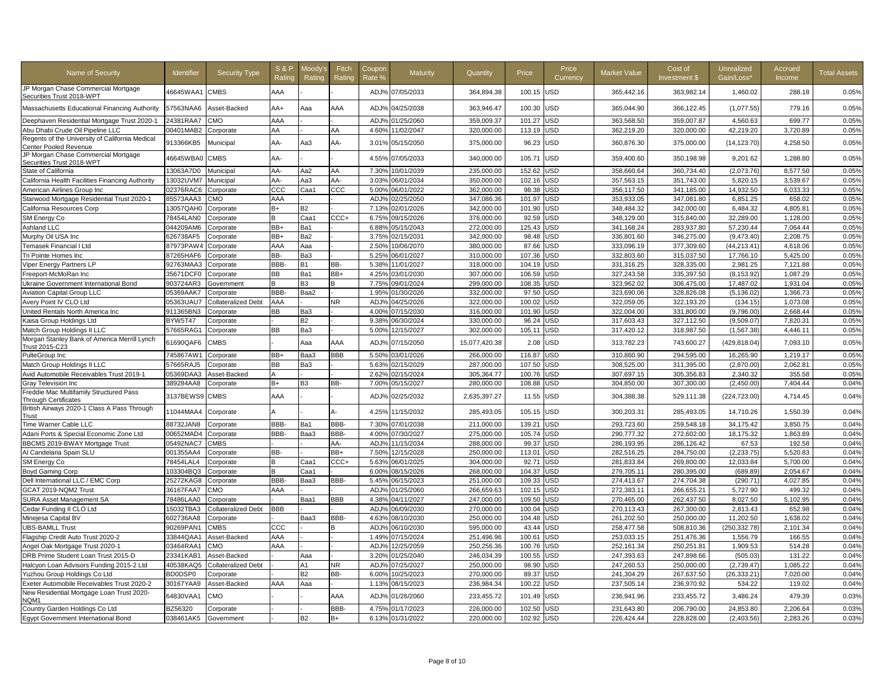| <b>Name of Security</b>                                                     | <b>Identifier</b> | <b>Security Type</b>       | <b>S&amp;P</b><br>Ratino | <b>Aoody</b><br>Rating | Fitch<br>Rating | Coupon<br>Rate 9 | Maturity         | Quantity      | Price  | Price<br>Currency | <b>Market Value</b> | Cost of<br>Investment \$ | Unrealized<br>Gain/Loss* | Accrued<br>Income | <b>Total Assets</b> |
|-----------------------------------------------------------------------------|-------------------|----------------------------|--------------------------|------------------------|-----------------|------------------|------------------|---------------|--------|-------------------|---------------------|--------------------------|--------------------------|-------------------|---------------------|
| JP Morgan Chase Commercial Mortgage<br>Securities Trust 2018-WPT            | 46645WAA1         | <b>CMBS</b>                | AAA                      |                        |                 | ADJ <sub>9</sub> | 07/05/2033       | 364,894.38    | 100.15 | USD               | 365,442.16          | 363,982.14               | 1,460.02                 | 288.18            | 0.05%               |
| Massachusetts Educational Financing Authority                               | 57563NAA6         | Asset-Backed               | AA+                      | Ааа                    | AAA             | ADJ%             | 04/25/2038       | 363,946.47    | 100.30 | USD               | 365,044.90          | 366,122.45               | (1,077.55)               | 779.16            | 0.05%               |
| Deephaven Residential Mortgage Trust 2020-1                                 | 24381RAA7         | CMO                        | AAA                      |                        |                 | AD.J%            | 01/25/2060       | 359,009.37    | 101.27 | JSD               | 363,568.50          | 359,007.87               | 4,560.63                 | 699.77            | 0.05%               |
| Abu Dhabi Crude Oil Pipeline LLC                                            | 00401MAB2         | Corporate                  | AA                       |                        | AA              | 4.60%            | 11/02/2047       | 320,000.00    | 113.19 | <b>JSD</b>        | 362,219.20          | 320,000.00               | 42,219.20                | 3,720.89          | 0.05%               |
| Regents of the University of California Medical<br>Center Pooled Revenue    | 913366KB5         | Municipal                  | AA-                      | Aa3                    | AA-             | 3.01%            | 05/15/2050       | 375,000.00    | 96.23  | JSD               | 360,876.30          | 375,000.00               | (14, 123.70)             | 4,258.50          | 0.05%               |
| JP Morgan Chase Commercial Mortgage<br>Securities Trust 2018-WPT            | 46645WBA0         | <b>CMBS</b>                | AA-                      |                        |                 | 4.55%            | 07/05/2033       | 340,000.00    | 105.71 | USD               | 359,400.60          | 350,198.98               | 9,201.62                 | 1,288.80          | 0.05%               |
| State of California                                                         | 13063A7D0         | Municipal                  | AA-                      | Aa2                    | AA              | 7.30%            | 10/01/2039       | 235,000.00    | 152.62 | JSD               | 358,660.64          | 360,734.40               | (2,073.76)               | 8,577.50          | 0.05%               |
| California Health Facilities Financing Authority                            | 13032UVM7         | Municipal                  | AA-                      | Aa3                    | AA-             | 3.03%            | 06/01/2034       | 350,000.00    | 102.16 | JSD               | 357,563.15          | 351,743.00               | 5,820.15                 | 3,539.67          | 0.05%               |
| American Airlines Group Inc                                                 | 02376RAC6         | Corporate                  | ccc                      | Caa1                   | CCC             | 5.00%            | 06/01/2022       | 362,000.00    | 98.38  | JSD               | 356,117.50          | 341,185.00               | 14,932.50                | 6,033.33          | 0.05%               |
| Starwood Mortgage Residential Trust 2020-1                                  | 85573AAA3         | СМО                        | AAA                      |                        |                 | ADJ <sub>%</sub> | 02/25/2050       | 347,086.36    | 101.97 | <b>JSD</b>        | 353,933.05          | 347,081.80               | 6,851.25                 | 658.02            | 0.05%               |
| California Resources Corp                                                   | 13057QAH0         | Corporate                  | B+                       | <b>B2</b>              |                 | 7.13%            | 02/01/2026       | 342,000.00    | 101.90 | <b>JSD</b>        | 348,484.32          | 342,000.00               | 6,484.32                 | 4,805.81          | 0.05%               |
| SM Energy Co                                                                | 78454LAN0         | Corporate                  |                          | Caa1                   | CCC+            | 6.75%            | 09/15/2026       | 376,000.00    | 92.59  | JSD               | 348,129.00          | 315,840.00               | 32,289.00                | 1,128.00          | 0.05%               |
| Ashland LLC                                                                 | 044209AM6         | Corporate                  | BB+                      | Ba1                    |                 | 6.88%            | 05/15/2043       | 272,000.00    | 125.43 | JSD               | 341,168.24          | 283,937.80               | 57,230.44                | 7,064.44          | 0.05%               |
| Murphy Oil USA Inc                                                          | 626738AF5         | Corporate                  | BB+                      | Ba2                    |                 | 3.75%            | 02/15/2031       | 342,000.00    | 98.48  | <b>JSD</b>        | 336,801.60          | 346,275.00               | (9,473.40)               | 2,208.75          | 0.05%               |
| Temasek Financial I Ltd                                                     | 87973PAW4         | Corporate                  | AAA                      | Aaa                    |                 | 2.50%            | 10/06/2070       | 380,000.00    | 87.66  | JSD               | 333,096.19          | 377,309.60               | (44, 213.41)             | 4,618.06          | 0.05%               |
| Tri Pointe Homes Inc                                                        | 87265HAF6         | Corporate                  | BB-                      | Ba3                    |                 | 5.25%            | 06/01/2027       | 310,000.00    | 107.36 | JSD               | 332,803.60          | 315,037.50               | 17,766.10                | 5,425.00          | 0.05%               |
| Viper Energy Partners LP                                                    | 92763MAA3         | Corporate                  | BBB-                     | В1                     | BB-             | 5.38%            | 11/01/2027       | 318,000.00    | 104.19 | JSD               | 331,316.25          | 328,335.00               | 2,981.25                 | 7,121.88          | 0.05%               |
| Freeport-McMoRan Inc                                                        | 35671DCF0         | Corporate                  | BВ                       | Ba1                    | BB+             | 4.25%            | 03/01/2030       | 307,000.00    | 106.59 | JSD               | 327,243.58          | 335,397.50               | (8, 153.92)              | 1,087.29          | 0.05%               |
| Ukraine Government International Bond                                       | 903724AR3         | Government                 | B                        | B <sub>3</sub>         |                 | 7.75%            | 09/01/2024       | 299,000.00    | 108.35 | JSD               | 323,962.02          | 306,475.00               | 17,487.02                | 1,931.04          | 0.05%               |
| <b>Aviation Capital Group LLC</b>                                           | 05369AAK7         | Corporate                  | <b>BBB</b>               | Baa2                   |                 | 1.95%            | 01/30/2026       | 332,000.00    | 97.50  | <b>JSD</b>        | 323,690.06          | 328,826.08               | (5, 136.02)              | 1,366.73          | 0.05%               |
| Avery Point IV CLO Ltd                                                      | 05363UAU7         | <b>Collateralized Debt</b> | AAA                      |                        | NR              | ADJ%             | 04/25/2026       | 322,000.00    | 100.02 | JSD               | 322,059.05          | 322,193.20               | (134.15)                 | 1,073.08          | 0.05%               |
| United Rentals North America Inc                                            | 911365BN3         | Corporate                  | BВ                       | Ba3                    |                 | 4.00%            | 07/15/2030       | 316,000.00    | 101.90 | JSD               | 322,004.00          | 331,800.00               | (9,796.00)               | 2,668.44          | 0.05%               |
| Kaisa Group Holdings Ltd                                                    | <b>BYW5T47</b>    |                            |                          | <b>B2</b>              |                 | 9.38%            | 06/30/2024       | 330,000.00    | 96.24  | JSD               | 317,603.43          | 327,112.50               | (9,509.07)               | 7,820.31          | 0.05%               |
|                                                                             |                   | Corporate                  | BB                       | Ba3                    |                 | 5.00%            | 12/15/2027       | 302,000.00    | 105.11 | JSD               |                     |                          |                          | 4,446.11          | 0.05%               |
| Match Group Holdings II LLC<br>Morgan Stanley Bank of America Merrill Lynch | 57665RAG1         | Corporate                  |                          |                        |                 |                  |                  |               |        |                   | 317,420.12          | 318,987.50               | (1, 567.38)              |                   |                     |
| <b>Trust 2015-C23</b>                                                       | 61690QAF6         | <b>CMBS</b>                |                          | Aaa                    | AAA             | ADJ <sup>9</sup> | 07/15/2050       | 15.077.420.38 | 2.08   | <b>JSD</b>        | 313,782.23          | 743,600.27               | (429,818.04)             | 7.093.10          | 0.05%               |
| PulteGroup Inc                                                              | 745867AW1         | Corporate                  | BB+                      | Baa3                   | <b>BBB</b>      | 5.50%            | 03/01/2026       | 266,000.00    | 116.87 | JSD               | 310,860.90          | 294.595.00               | 16.265.90                | 1,219.17          | 0.05%               |
| Match Group Holdings II LLC                                                 | 57665RAJ5         | Corporate                  | ВB                       | Ba3                    |                 | 5.63%            | 02/15/2029       | 287,000.00    | 107.50 | <b>JSD</b>        | 308,525.00          | 311,395.00               | (2,870.00)               | 2.062.81          | 0.05%               |
| Avid Automobile Receivables Trust 2019-1                                    | 05369DAA3         | Asset-Backed               |                          |                        |                 | 2.62%            | 02/15/2024       | 305,364.77    | 100.76 | JSD               | 307,697.15          | 305,356.83               | 2,340.32                 | 355.58            | 0.05%               |
| Gray Television Inc                                                         | 389284AA8         | Corporate                  | B+                       | B3                     | BB-             | 7.00%            | 05/15/2027       | 280,000.00    | 108.88 | JSD               | 304,850.00          | 307,300.00               | (2,450.00)               | 7,404.44          | 0.04%               |
| Freddie Mac Multifamily Structured Pass<br><b>Through Certificates</b>      | 3137BEWS9         | <b>CMBS</b>                | AAA                      |                        |                 | ADJ <sup>9</sup> | 02/25/2032       | 2,635,397.27  | 11.55  | USD               | 304,388.38          | 529,111.38               | (224,723.00)             | 4,714.45          | 0.04%               |
| British Airways 2020-1 Class A Pass Through<br>Trust                        | 11044MAA4         | Corporate                  |                          |                        | А-              | 4.25%            | 11/15/2032       | 285,493.05    | 105.15 | USD               | 300,203.31          | 285,493.05               | 14,710.26                | 1,550.39          | 0.04%               |
| Time Warner Cable LLC                                                       | 88732JAN8         | Corporate                  | BBB-                     | Ba1                    | BBB-            | 7.30%            | 07/01/2038       | 211,000.00    | 139.21 | JSD               | 293,723.60          | 259,548.18               | 34,175.42                | 3,850.75          | 0.04%               |
| Adani Ports & Special Economic Zone Ltd                                     | 00652MAD4         | Corporate                  | BBB-                     | Baa3                   | BBB-            | 4.00%            | 07/30/2027       | 275,000.00    | 105.74 | JSD               | 290,777.32          | 272,602.00               | 18,175.32                | 1,863.89          | 0.04%               |
| BBCMS 2019-BWAY Mortgage Trust                                              | 05492NAC7         | <b>CMBS</b>                |                          |                        | AA-             | ADJ%             | 11/15/2034       | 288,000.00    | 99.37  | JSD               | 286,193.95          | 286,126.42               | 67.53                    | 192.58            | 0.04%               |
| Al Candelaria Spain SLU                                                     | 001355AA4         | Corporate                  | BB-                      |                        | BB+             | 7.50%            | 12/15/2028       | 250,000.00    | 113.01 | USD               | 282,516.25          | 284,750.00               | (2, 233.75)              | 5,520.83          | 0.04%               |
| SM Energy Co                                                                | 78454LAL4         | Corporate                  | B                        | Caa1                   | CCC+            | 5.63%            | 06/01/2025       | 304,000.00    | 92.71  | <b>JSD</b>        | 281,833.84          | 269,800.00               | 12,033.84                | 5,700.00          | 0.04%               |
| Boyd Gaming Corp                                                            | 103304BQ3         | Corporate                  | R                        | Caa1                   |                 | 6.00%            | 08/15/2026       | 268,000.00    | 104.37 | <b>JSD</b>        | 279,705.11          | 280,395.00               | (689.89)                 | 2,054.67          | 0.04%               |
| Dell International LLC / EMC Corp                                           | 25272KAG8         | Corporate                  | <b>BBB</b>               | Baa3                   | BBB-            | 5.45%            | 06/15/2023       | 251,000.00    | 109.33 | JSD               | 274,413.67          | 274,704.38               | (290.71)                 | 4.027.85          | 0.04%               |
| GCAT 2019-NQM2 Trust                                                        | 36167FAA7         | CMO                        | AAA                      |                        |                 | ADJ%             | 01/25/2060       | 266,659.63    | 102.15 | USD               | 272,383.11          | 266,655.21               | 5.727.90                 | 499.32            | 0.04%               |
| <b>SURA Asset Management SA</b>                                             | 78486LAA0         | Corporate                  |                          | Baa1                   | <b>BBB</b>      | 4.38%            | 04/11/2027       | 247,000.00    | 109.50 | <b>JSD</b>        | 270,465.00          | 262,437.50               | 8,027.50                 | 5,102.95          | 0.04%               |
| Cedar Funding II CLO Ltd                                                    | 15032TBA3         | <b>Collateralized Debt</b> | BBB                      |                        |                 | ADJ%             | 06/09/2030       | 270,000.00    | 100.04 | JSD               | 270,113.43          | 267,300.00               | 2,813.43                 | 652.98            | 0.04%               |
| Minejesa Capital BV                                                         | 602736AA8         | Corporate                  |                          | Baa3                   | BBB-            | 4.63%            | 08/10/2030       | 250,000.00    | 104.48 | JSD               | 261,202.50          | 250,000.00               | 11,202.50                | 1,638.02          | 0.04%               |
| <b>UBS-BAMLL Trust</b>                                                      | 90269PAN1         | CMBS                       | $_{\rm ccc}$             |                        |                 | ADJ%             | 06/10/2030       | 595,000.00    | 43.44  | <b>JSD</b>        | 258,477.58          | 508,810.36               | (250,332.78)             | 2,101.34          | 0.04%               |
| Flagship Credit Auto Trust 2020-2                                           | 33844QAA1         | Asset-Backed               | AAA                      |                        |                 | 1.49%            | 07/15/2024       | 251,496.96    | 100.61 | JSD               | 253,033.15          | 251,476.36               | 1,556.79                 | 166.55            | 0.04%               |
| Angel Oak Mortgage Trust 2020-1                                             | 03464RAA1         | CMO                        | AAA                      |                        |                 | ADJ%             | 12/25/2059       | 250.256.36    | 100.76 | <b>JSD</b>        | 252.161.34          | 250.251.81               | 1.909.53                 | 514.28            | 0.04%               |
| DRB Prime Student Loan Trust 2015-D                                         | 23341KAB1         | Asset-Backed               |                          | Aaa                    |                 | 3.20%            | 01/25/2040       | 246,034.39    | 100.55 | JSD               | 247,393.63          | 247,898.66               |                          | 131.22            | 0.04%               |
|                                                                             |                   |                            |                          |                        |                 |                  |                  |               | 98.90  | <b>JSD</b>        | 247,260.53          | 250,000.00               | (505.03)<br>(2,739.47)   | 1,085.22          | 0.04%               |
| Halcyon Loan Advisors Funding 2015-2 Ltd                                    | 40538KAQ5         | Collateralized Debt        |                          | A1                     | ΝR              | ADJ <sub>9</sub> | 07/25/2027       | 250,000.00    |        |                   |                     |                          |                          |                   |                     |
| Yuzhou Group Holdings Co Ltd                                                | BD0DSP0           | Corporate                  |                          | <b>B2</b>              | BB-             | 6.00%            | 10/25/2023       | 270,000.00    | 89.37  | JSD               | 241,304.29          | 267,637.50               | (26, 333.21)             | 7,020.00          | 0.04%               |
| Exeter Automobile Receivables Trust 2020-2                                  | 30167YAA9         | Asset-Backed               | AAA                      | Aaa                    |                 | 1.13%            | 08/15/2023       | 236,984.34    | 100.22 | JSD               | 237,505.14          | 236,970.92               | 534.22                   | 119.02            | 0.04%               |
| New Residential Mortgage Loan Trust 2020-<br>NQM1                           | 64830VAA1         | CMO                        |                          |                        | AAA             | ADJ%             | 01/26/2060       | 233,455.72    | 101.49 | USD               | 236,941.96          | 233,455.72               | 3,486.24                 | 479.39            | 0.03%               |
| Country Garden Holdings Co Ltd                                              | BZ56320           | Corporate                  |                          |                        | BBB-            | 4.75%            | 01/17/2023       | 226.000.00    | 102.50 | <b>JSD</b>        | 231,643.80          | 206.790.00               | 24,853.80                | 2.206.64          | 0.03%               |
| Egypt Government International Bond                                         | 038461AK5         | Government                 |                          | <b>B2</b>              | B+              |                  | 6.13% 01/31/2022 | 220,000.00    | 102.92 | <b>USD</b>        | 226,424.44          | 228,828.00               | (2,403.56)               | 2,283.26          | 0.03%               |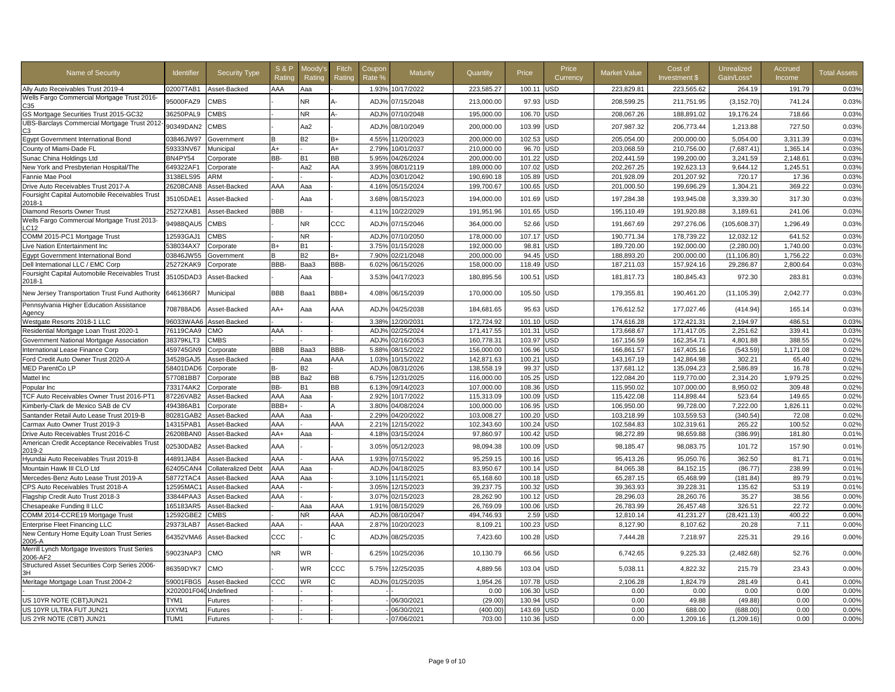| Name of Security                                          | Identifier           | <b>Security Type</b> | <b>S&amp;P</b><br>Ratino | Moody'<br>Rating | Fitch<br>Rating | Coupon<br>Rate %         | Maturity   | Quantity                | Price  | Price<br>Currency | <b>Market Value</b> | Cost of<br>Investment \$ | Unrealized<br>Gain/Loss* | Accrued<br>Income | <b>Total Assets</b> |
|-----------------------------------------------------------|----------------------|----------------------|--------------------------|------------------|-----------------|--------------------------|------------|-------------------------|--------|-------------------|---------------------|--------------------------|--------------------------|-------------------|---------------------|
| Ally Auto Receivables Trust 2019-4                        | 02007TAB1            | Asset-Backed         | AAA                      | Aaa              |                 | 1.93%                    | 10/17/2022 | 223,585.27              | 100.11 | <b>JSD</b>        | 223,829.81          | 223,565.62               | 264.19                   | 191.79            | 0.03%               |
| Wells Fargo Commercial Mortgage Trust 2016-<br>C.35       | 95000FAZ9            | <b>CMBS</b>          |                          | <b>NR</b>        |                 | ADJ%                     | 07/15/2048 | 213,000.00              | 97.93  | <b>JSD</b>        | 208,599.25          | 211,751.95               | (3, 152.70)              | 741.24            | 0.03%               |
| GS Mortgage Securities Trust 2015-GC32                    | 36250PAL9            | <b>CMBS</b>          |                          | <b>NR</b>        |                 | ADJ%                     | 07/10/2048 | 195,000.00              | 106.70 | JSD               | 208,067.26          | 188,891.02               | 19,176.24                | 718.66            | 0.03%               |
| UBS-Barclays Commercial Mortgage Trust 2012               | 90349DAN2            | <b>CMBS</b>          |                          | Aa2              |                 | ADJ%                     | 08/10/2049 | 200,000.00              | 103.99 | USD               | 207,987.32          | 206,773.44               | 1,213.88                 | 727.50            | 0.03%               |
| Egypt Government International Bond                       | 03846JW97            | Government           | B                        | <b>B2</b>        | B+              | 4.55%                    | 11/20/2023 | 200,000.00              | 102.53 | <b>JSD</b>        | 205,054.00          | 200,000.00               | 5,054.00                 | 3,311.39          | 0.03%               |
| County of Miami-Dade FL                                   | 59333NV67            | Municipal            | A+                       |                  | A+              | 2.79%                    | 10/01/2037 | 210,000.00              | 96.70  | JSD               | 203,068.59          | 210,756.00               | (7,687.41)               | 1,365.14          | 0.03%               |
| Sunac China Holdings Ltd                                  | BN4PY54              | Corporate            | BB-                      | <b>B1</b>        | BВ              | 5.95%                    | 04/26/2024 | 200,000.00              | 101.22 | <b>JSD</b>        | 202,441.59          | 199,200.00               | 3,241.59                 | 2.148.61          | 0.03%               |
| New York and Presbyterian Hospital/The                    | 649322AF1            | Corporate            |                          | Aa2              | AA              | 3.95%                    | 08/01/2119 | 189,000.00              | 107.02 | <b>JSD</b>        | 202,267.25          | 192,623.13               | 9,644.12                 | 1,245.51          | 0.03%               |
| Fannie Mae Pool                                           | 3138ELS95            | ARM                  |                          |                  |                 | ADJ <sub>9</sub>         | 03/01/2042 | 190,690.18              | 105.89 | JSD               | 201,928.09          | 201,207.92               | 720.17                   | 17.36             | 0.03%               |
| Drive Auto Receivables Trust 2017-A                       | 26208CAN8            | Asset-Backed         | AAA                      | Aaa              |                 | 4.16%                    | 05/15/2024 | 199,700.67              | 100.65 | JSD               | 201,000.50          | 199,696.29               | 1,304.21                 | 369.22            | 0.03%               |
| Foursight Capital Automobile Receivables Trust<br>2018-1  | 35105DAE1            | Asset-Backed         |                          | Ааа              |                 | 3.68%                    | 08/15/2023 | 194,000.00              | 101.69 | JSD               | 197,284.38          | 193,945.08               | 3,339.30                 | 317.30            | 0.03%               |
| Diamond Resorts Owner Trust                               | 25272XAB1            | Asset-Backed         | <b>BBB</b>               |                  |                 | 4.11%                    | 10/22/2029 | 191,951.96              | 101.65 | JSD               | 195,110.49          | 191,920.88               | 3,189.61                 | 241.06            | 0.03%               |
| Wells Fargo Commercial Mortgage Trust 2013-<br>LC12       | 94988QAU5            | <b>CMBS</b>          |                          | <b>NR</b>        | ccc             | ADJ%                     | 07/15/2046 | 364,000.00              | 52.66  | USD               | 191,667.69          | 297,276.06               | (105, 608.37)            | 1,296.49          | 0.03%               |
| COMM 2015-PC1 Mortgage Trust                              | 12593GAJ1            | <b>CMBS</b>          |                          | <b>NR</b>        |                 | ADJ%                     | 07/10/2050 | 178,000.00              | 107.17 | USD               | 190,771.34          | 178,739.22               | 12,032.12                | 641.52            | 0.03%               |
| Live Nation Entertainment Inc                             | 538034AX7            | Corporate            | $B+$                     | <b>B1</b>        |                 | 3.75%                    | 01/15/2028 | 192,000.00              | 98.81  | USD               | 189,720.00          | 192,000.00               | (2,280.00)               | 1,740.00          | 0.03%               |
| Egypt Government International Bond                       | 03846JW55            | Government           | B                        | <b>B2</b>        | B+              | 7.90%                    | 02/21/2048 | 200,000.00              | 94.45  | JSD               | 188,893.20          | 200,000.00               | (11, 106.80)             | 1,756.22          | 0.03%               |
| Dell International LLC / EMC Corp                         | 25272KAK9            | Corporate            | BBB-                     | Baa3             | BBB-            | 6.02%                    | 06/15/2026 | 158,000.00              | 118.49 | JSD               | 187,211.03          | 157,924.16               | 29,286.87                | 2,800.64          | 0.03%               |
| Foursight Capital Automobile Receivables Trust<br>2018-1  | 35105DAD3            | Asset-Backed         |                          | Aaa              |                 | 3.53%                    | 04/17/2023 | 180,895.56              | 100.51 | USD               | 181,817.73          | 180,845.43               | 972.30                   | 283.81            | 0.03%               |
| New Jersey Transportation Trust Fund Authority            | 6461366R7            | Municipal            | BBB                      | Baa1             | BBB+            | 4.08%                    | 06/15/2039 | 170,000.00              | 105.50 | <b>USD</b>        | 179,355.81          | 190,461.20               | (11, 105.39)             | 2,042.77          | 0.03%               |
| Pennsylvania Higher Education Assistance<br>Agency        | 708788AD6            | Asset-Backed         | AA+                      | Aaa              | AAA             | ADJ%                     | 04/25/2038 | 184,681.65              | 95.63  | <b>USD</b>        | 176,612.52          | 177,027.46               | (414.94)                 | 165.14            | 0.03%               |
| Westgate Resorts 2018-1 LLC                               | 96033WAA6            | Asset-Backed         |                          |                  |                 | 3.38%                    | 12/20/2031 | 172,724.92              | 101.10 | USD               | 174,616.28          | 172,421.31               | 2,194.97                 | 486.51            | 0.03%               |
| Residential Mortgage Loan Trust 2020-1                    | 76119CAA9            | <b>CMC</b>           | AAA                      |                  |                 | ADJ%                     | 02/25/2024 | 171,417.55              | 101.31 | JSD               | 173,668.67          | 171,417.05               | 2,251.62                 | 339.41            | 0.03%               |
| Government National Mortgage Association                  | 38379KLT3            | <b>CMBS</b>          |                          |                  |                 | ADJ%                     | 02/16/2053 | 160.778.31              | 103.97 | <b>JSD</b>        | 167,156.59          | 162.354.71               | 4.801.88                 | 388.55            | 0.02%               |
| International Lease Finance Corp                          | 459745GN9            | Corporate            | <b>BBB</b>               | Baa3             | BBB-            | 5.88%                    | 08/15/2022 | 156,000.00              | 106.96 | <b>JSD</b>        | 166,861.57          | 167,405.16               | (543.59)                 | 1,171.08          | 0.02%               |
| Ford Credit Auto Owner Trust 2020-A                       | 34528GAJ5            | Asset-Backed         |                          | Aaa              | AAA             | 1.03%                    | 10/15/2022 | 142,871.63              | 100.21 | USD               | 143,167.19          | 142,864.98               | 302.21                   | 65.40             | 0.02%               |
| MED ParentCo LP                                           | 58401DAD6            | Corporate            | <b>B-</b>                | В2               |                 | ADJ%                     | 08/31/2026 | 138,558.19              | 99.37  | USD               | 137,681.12          | 135,094.23               | 2,586.89                 | 16.78             | 0.02%               |
| Mattel Inc                                                | 577081BB7            | Corporate            | <b>BB</b>                | Ba2              | <b>BB</b>       | 6.75%                    | 12/31/2025 | 116,000.00              | 105.25 | USD               | 122,084.20          | 119,770.00               | 2,314.20                 | 1,979.25          | 0.02%               |
| Popular Inc                                               | 733174AK2            | Corporate            | BB-                      | <b>B1</b>        | BВ              | 6.13%                    | 09/14/2023 | 107,000.00              | 108.36 | <b>JSD</b>        | 115,950.02          | 107,000.00               | 8,950.02                 | 309.48            | 0.02%               |
| TCF Auto Receivables Owner Trust 2016-PT1                 | 87226VAB2            | Asset-Backed         | AAA                      | Aaa              |                 | 2.92%                    | 10/17/2022 | 115,313.09              | 100.09 | <b>JSD</b>        | 115,422.08          | 114,898.44               | 523.64                   | 149.65            | 0.02%               |
| Kimberly-Clark de Mexico SAB de CV                        | 494386AB1            | Corporate            | BBB+                     |                  |                 | 3.80%                    | 04/08/2024 | 100,000.00              | 106.95 | JSD               | 106,950.00          | 99.728.00                | 7,222.00                 | 1,826.11          | 0.02%               |
| Santander Retail Auto Lease Trust 2019-B                  | 80281GAB2            | Asset-Backed         | AAA                      | Aaa              |                 | 2.29%                    | 04/20/2022 | 103,008.27              | 100.20 | <b>JSD</b>        | 103,218.99          | 103,559.53               | (340.54)                 | 72.08             | 0.02%               |
| Carmax Auto Owner Trust 2019-3                            | 14315PAB1            | Asset-Backed         | AAA                      |                  | AAA             | 2.21%                    | 12/15/2022 | 102,343.60              | 100.24 | JSD               | 102,584.83          | 102,319.61               | 265.22                   | 100.52            | 0.02%               |
| Drive Auto Receivables Trust 2016-C                       | 26208BAN0            | Asset-Backed         | AA+                      | Aaa              |                 | 4.18%                    | 03/15/2024 | 97,860.97               | 100.42 | <b>JSD</b>        | 98,272.89           | 98,659.88                | (386.99)                 | 181.80            | 0.01%               |
| American Credit Acceptance Receivables Trust<br>2019-2    | 02530DAB2            | Asset-Backed         | AAA                      |                  |                 | 3.05%                    | 05/12/2023 | 98,094.38               | 100.09 | USD               | 98,185.47           | 98,083.75                | 101.72                   | 157.90            | 0.01%               |
| Hyundai Auto Receivables Trust 2019-B                     | 44891JAB4            | Asset-Backed         | AAA                      |                  | AAA             | 1.93%                    | 07/15/2022 | 95,259.15               | 100.16 | USD               | 95,413.26           | 95,050.76                | 362.50                   | 81.71             | 0.01%               |
| Mountain Hawk III CLO Ltd                                 | 62405CAN4            | Collateralized Debt  | AAA                      | Aaa              |                 | ADJ%                     | 04/18/2025 | 83,950.67               | 100.14 | <b>JSD</b>        | 84,065.38           | 84,152.15                | (86.77)                  | 238.99            | 0.01%               |
| Mercedes-Benz Auto Lease Trust 2019-A                     | 58772TAC4            | Asset-Backed         | AAA                      | Aaa              |                 | 3.10%                    | 11/15/2021 | 65,168.60               | 100.18 | JSD               | 65,287.15           | 65,468.99                | (181.84)                 | 89.79             | 0.01%               |
| CPS Auto Receivables Trust 2018-A                         | 12595MAC1            | Asset-Backed         | AAA                      |                  |                 | 3.05%                    | 12/15/2023 | 39,237.75               | 100.32 | <b>JSD</b>        | 39,363.93           | 39,228.31                | 135.62                   | 53.19             | 0.01%               |
| Flagship Credit Auto Trust 2018-3                         | 33844PAA3            | Asset-Backed         | AAA                      |                  |                 | 3.07%                    | 02/15/2023 | 28,262.90               | 100.12 | <b>JSD</b>        | 28,296.03           | 28,260.76                | 35.27                    | 38.56             | 0.00%               |
| Chesapeake Funding II LLC                                 | 165183AR5            | Asset-Backed         |                          | Aaa<br>NR.       | AAA<br>AAA      | 1.919                    | 08/15/2029 | 26,769.09<br>494.746.93 | 100.06 | JSD               | 26,783.99           | 26,457.48                | 326.51                   | 22.72             | 0.00%               |
| COMM 2014-CCRE19 Mortgage Trust                           | 12592GBE2            | CMBS                 | AAA                      |                  | AAA             | ADJ <sub>9</sub><br>2.87 | 08/10/2047 |                         | 2.59   | JSD<br><b>JSD</b> | 12,810.14           | 41,231.27                | (28, 421.13)             | 400.22            | 0.00%               |
| <b>Enterprise Fleet Financing LLC</b>                     | 29373LAB7            | Asset-Backed         |                          |                  |                 |                          | 10/20/2023 | 8,109.21                | 100.23 |                   | 8,127.90            | 8,107.62                 | 20.28                    | 7.11              | 0.00%               |
| New Century Home Equity Loan Trust Series<br>2005-A       | 64352VMA6            | Asset-Backed         | ccc                      |                  |                 | ADJ%                     | 08/25/2035 | 7,423.60                | 100.28 | <b>JSD</b>        | 7,444.28            | 7,218.97                 | 225.31                   | 29.16             | 0.00%               |
| Merrill Lynch Mortgage Investors Trust Series<br>2006-AF2 | 59023NAP3            | CMO                  | NR                       | <b>WR</b>        |                 | 6.25%                    | 10/25/2036 | 10,130.79               | 66.56  | USD               | 6,742.65            | 9,225.33                 | (2,482.68)               | 52.76             | 0.00%               |
| Structured Asset Securities Corp Series 2006-             | 86359DYK7            | СМО                  |                          | WR               | ccc             | 5.75%                    | 12/25/2035 | 4,889.56                | 103.04 | <b>USD</b>        | 5,038.11            | 4,822.32                 | 215.79                   | 23.43             | 0.00%               |
| Meritage Mortgage Loan Trust 2004-2                       | 59001FBG5            | Asset-Backed         | ccc                      | <b>WR</b>        |                 | ADJ <sub>9</sub>         | 01/25/2035 | 1,954.26                | 107.78 | <b>JSD</b>        | 2,106.28            | 1,824.79                 | 281.49                   | 0.41              | 0.00%               |
|                                                           | X202001F040Undefined |                      |                          |                  |                 |                          |            | 0.00                    | 106.30 | <b>JSD</b>        | 0.00                | 0.00                     | 0.00                     | 0.00              | 0.00%               |
| US 10YR NOTE (CBT)JUN21                                   | TYM1                 | Futures              |                          |                  |                 |                          | 06/30/2021 | (29.00)                 | 130.94 | JSD               | 0.00                | 49.88                    | (49.88)                  | 0.00              | 0.00%               |
| US 10YR ULTRA FUT JUN21                                   | UXYM1                | -utures              |                          |                  |                 |                          | 06/30/2021 | (400.00)                | 143.69 | <b>JSD</b>        | 0.00                | 688.00                   | (688.00)                 | 0.00              | 0.00%               |
| US 2YR NOTE (CBT) JUN21                                   | TUM1                 | <b>Futures</b>       |                          |                  |                 |                          | 07/06/2021 | 703.00                  | 110.36 | <b>USD</b>        | 0.00                | 1,209.16                 | (1, 209.16)              | 0.00              | 0.00%               |